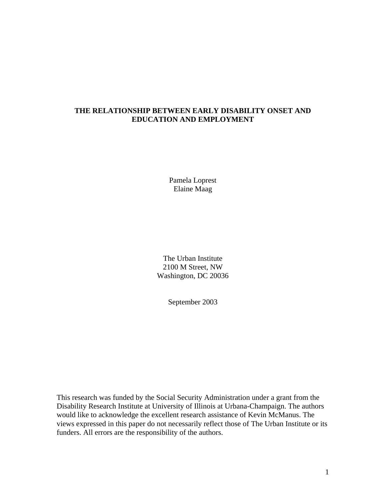# **THE RELATIONSHIP BETWEEN EARLY DISABILITY ONSET AND EDUCATION AND EMPLOYMENT**

Pamela Loprest Elaine Maag

The Urban Institute 2100 M Street, NW Washington, DC 20036

September 2003

This research was funded by the Social Security Administration under a grant from the Disability Research Institute at University of Illinois at Urbana-Champaign. The authors would like to acknowledge the excellent research assistance of Kevin McManus. The views expressed in this paper do not necessarily reflect those of The Urban Institute or its funders. All errors are the responsibility of the authors.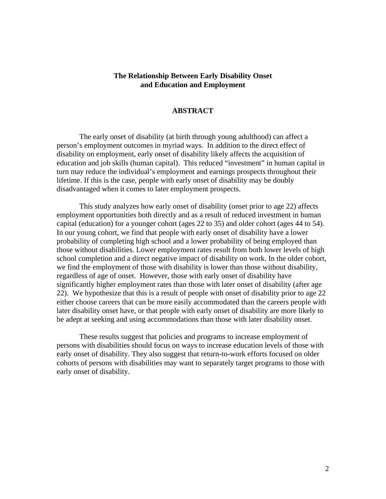## **The Relationship Between Early Disability Onset and Education and Employment**

## **ABSTRACT**

The early onset of disability (at birth through young adulthood) can affect a person's employment outcomes in myriad ways. In addition to the direct effect of disability on employment, early onset of disability likely affects the acquisition of education and job skills (human capital). This reduced "investment" in human capital in turn may reduce the individual's employment and earnings prospects throughout their lifetime. If this is the case, people with early onset of disability may be doubly disadvantaged when it comes to later employment prospects.

This study analyzes how early onset of disability (onset prior to age 22) affects employment opportunities both directly and as a result of reduced investment in human capital (education) for a younger cohort (ages 22 to 35) and older cohort (ages 44 to 54). In our young cohort, we find that people with early onset of disability have a lower probability of completing high school and a lower probability of being employed than those without disabilities. Lower employment rates result from both lower levels of high school completion and a direct negative impact of disability on work. In the older cohort, we find the employment of those with disability is lower than those without disability, regardless of age of onset. However, those with early onset of disability have significantly higher employment rates than those with later onset of disability (after age 22). We hypothesize that this is a result of people with onset of disability prior to age 22 either choose careers that can be more easily accommodated than the careers people with later disability onset have, or that people with early onset of disability are more likely to be adept at seeking and using accommodations than those with later disability onset.

These results suggest that policies and programs to increase employment of persons with disabilities should focus on ways to increase education levels of those with early onset of disability. They also suggest that return-to-work efforts focused on older cohorts of persons with disabilities may want to separately target programs to those with early onset of disability.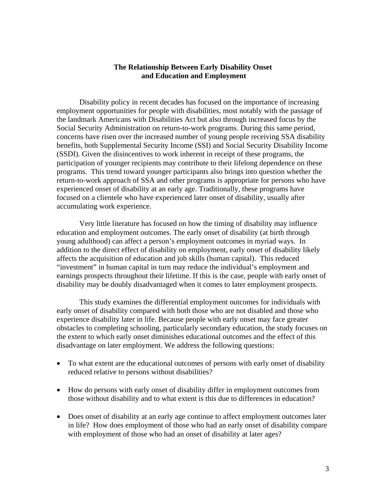## **The Relationship Between Early Disability Onset and Education and Employment**

Disability policy in recent decades has focused on the importance of increasing employment opportunities for people with disabilities, most notably with the passage of the landmark Americans with Disabilities Act but also through increased focus by the Social Security Administration on return-to-work programs. During this same period, concerns have risen over the increased number of young people receiving SSA disability benefits, both Supplemental Security Income (SSI) and Social Security Disability Income (SSDI). Given the disincentives to work inherent in receipt of these programs, the participation of younger recipients may contribute to their lifelong dependence on these programs. This trend toward younger participants also brings into question whether the return-to-work approach of SSA and other programs is appropriate for persons who have experienced onset of disability at an early age. Traditionally, these programs have focused on a clientele who have experienced later onset of disability, usually after accumulating work experience.

Very little literature has focused on how the timing of disability may influence education and employment outcomes. The early onset of disability (at birth through young adulthood) can affect a person's employment outcomes in myriad ways. In addition to the direct effect of disability on employment, early onset of disability likely affects the acquisition of education and job skills (human capital). This reduced "investment" in human capital in turn may reduce the individual's employment and earnings prospects throughout their lifetime. If this is the case, people with early onset of disability may be doubly disadvantaged when it comes to later employment prospects.

This study examines the differential employment outcomes for individuals with early onset of disability compared with both those who are not disabled and those who experience disability later in life. Because people with early onset may face greater obstacles to completing schooling, particularly secondary education, the study focuses on the extent to which early onset diminishes educational outcomes and the effect of this disadvantage on later employment. We address the following questions:

- To what extent are the educational outcomes of persons with early onset of disability reduced relative to persons without disabilities?
- How do persons with early onset of disability differ in employment outcomes from those without disability and to what extent is this due to differences in education?
- Does onset of disability at an early age continue to affect employment outcomes later in life? How does employment of those who had an early onset of disability compare with employment of those who had an onset of disability at later ages?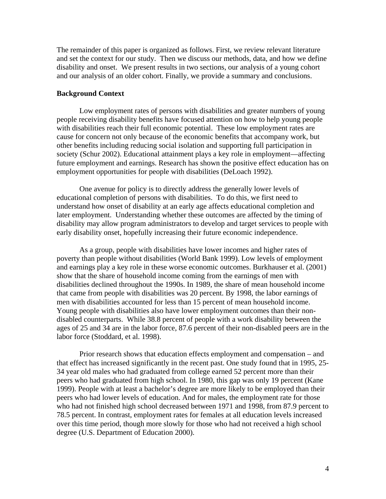The remainder of this paper is organized as follows. First, we review relevant literature and set the context for our study. Then we discuss our methods, data, and how we define disability and onset. We present results in two sections, our analysis of a young cohort and our analysis of an older cohort. Finally, we provide a summary and conclusions.

## **Background Context**

Low employment rates of persons with disabilities and greater numbers of young people receiving disability benefits have focused attention on how to help young people with disabilities reach their full economic potential. These low employment rates are cause for concern not only because of the economic benefits that accompany work, but other benefits including reducing social isolation and supporting full participation in society (Schur 2002). Educational attainment plays a key role in employment—affecting future employment and earnings. Research has shown the positive effect education has on employment opportunities for people with disabilities (DeLoach 1992).

One avenue for policy is to directly address the generally lower levels of educational completion of persons with disabilities. To do this, we first need to understand how onset of disability at an early age affects educational completion and later employment. Understanding whether these outcomes are affected by the timing of disability may allow program administrators to develop and target services to people with early disability onset, hopefully increasing their future economic independence.

As a group, people with disabilities have lower incomes and higher rates of poverty than people without disabilities (World Bank 1999). Low levels of employment and earnings play a key role in these worse economic outcomes. Burkhauser et al. (2001) show that the share of household income coming from the earnings of men with disabilities declined throughout the 1990s. In 1989, the share of mean household income that came from people with disabilities was 20 percent. By 1998, the labor earnings of men with disabilities accounted for less than 15 percent of mean household income. Young people with disabilities also have lower employment outcomes than their nondisabled counterparts. While 38.8 percent of people with a work disability between the ages of 25 and 34 are in the labor force, 87.6 percent of their non-disabled peers are in the labor force (Stoddard, et al. 1998).

Prior research shows that education effects employment and compensation – and that effect has increased significantly in the recent past. One study found that in 1995, 25- 34 year old males who had graduated from college earned 52 percent more than their peers who had graduated from high school. In 1980, this gap was only 19 percent (Kane 1999). People with at least a bachelor's degree are more likely to be employed than their peers who had lower levels of education. And for males, the employment rate for those who had not finished high school decreased between 1971 and 1998, from 87.9 percent to 78.5 percent. In contrast, employment rates for females at all education levels increased over this time period, though more slowly for those who had not received a high school degree (U.S. Department of Education 2000).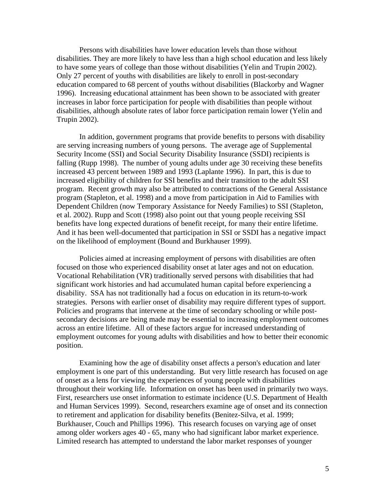Persons with disabilities have lower education levels than those without disabilities. They are more likely to have less than a high school education and less likely to have some years of college than those without disabilities (Yelin and Trupin 2002). Only 27 percent of youths with disabilities are likely to enroll in post-secondary education compared to 68 percent of youths without disabilities (Blackorby and Wagner 1996). Increasing educational attainment has been shown to be associated with greater increases in labor force participation for people with disabilities than people without disabilities, although absolute rates of labor force participation remain lower (Yelin and Trupin 2002).

In addition, government programs that provide benefits to persons with disability are serving increasing numbers of young persons. The average age of Supplemental Security Income (SSI) and Social Security Disability Insurance (SSDI) recipients is falling (Rupp 1998). The number of young adults under age 30 receiving these benefits increased 43 percent between 1989 and 1993 (Laplante 1996). In part, this is due to increased eligibility of children for SSI benefits and their transition to the adult SSI program. Recent growth may also be attributed to contractions of the General Assistance program (Stapleton, et al. 1998) and a move from participation in Aid to Families with Dependent Children (now Temporary Assistance for Needy Families) to SSI (Stapleton, et al. 2002). Rupp and Scott (1998) also point out that young people receiving SSI benefits have long expected durations of benefit receipt, for many their entire lifetime. And it has been well-documented that participation in SSI or SSDI has a negative impact on the likelihood of employment (Bound and Burkhauser 1999).

 Policies aimed at increasing employment of persons with disabilities are often focused on those who experienced disability onset at later ages and not on education. Vocational Rehabilitation (VR) traditionally served persons with disabilities that had significant work histories and had accumulated human capital before experiencing a disability. SSA has not traditionally had a focus on education in its return-to-work strategies. Persons with earlier onset of disability may require different types of support. Policies and programs that intervene at the time of secondary schooling or while postsecondary decisions are being made may be essential to increasing employment outcomes across an entire lifetime. All of these factors argue for increased understanding of employment outcomes for young adults with disabilities and how to better their economic position.

Examining how the age of disability onset affects a person's education and later employment is one part of this understanding. But very little research has focused on age of onset as a lens for viewing the experiences of young people with disabilities throughout their working life. Information on onset has been used in primarily two ways. First, researchers use onset information to estimate incidence (U.S. Department of Health and Human Services 1999). Second, researchers examine age of onset and its connection to retirement and application for disability benefits (Benitez-Silva, et al. 1999; Burkhauser, Couch and Phillips 1996). This research focuses on varying age of onset among older workers ages 40 - 65, many who had significant labor market experience. Limited research has attempted to understand the labor market responses of younger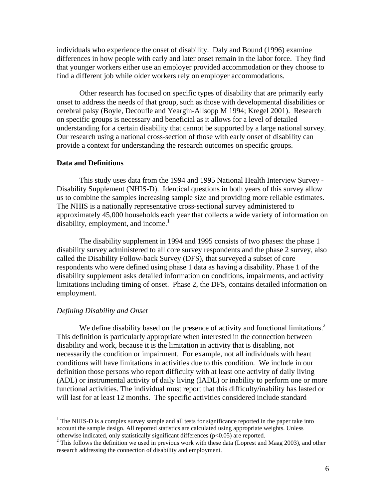individuals who experience the onset of disability. Daly and Bound (1996) examine differences in how people with early and later onset remain in the labor force. They find that younger workers either use an employer provided accommodation or they choose to find a different job while older workers rely on employer accommodations.

Other research has focused on specific types of disability that are primarily early onset to address the needs of that group, such as those with developmental disabilities or cerebral palsy (Boyle, Decoufle and Yeargin-Allsopp M 1994; Kregel 2001). Research on specific groups is necessary and beneficial as it allows for a level of detailed understanding for a certain disability that cannot be supported by a large national survey. Our research using a national cross-section of those with early onset of disability can provide a context for understanding the research outcomes on specific groups.

### **Data and Definitions**

This study uses data from the 1994 and 1995 National Health Interview Survey - Disability Supplement (NHIS-D). Identical questions in both years of this survey allow us to combine the samples increasing sample size and providing more reliable estimates. The NHIS is a nationally representative cross-sectional survey administered to approximately 45,000 households each year that collects a wide variety of information on disability, employment, and income.<sup>1</sup>

The disability supplement in 1994 and 1995 consists of two phases: the phase 1 disability survey administered to all core survey respondents and the phase 2 survey, also called the Disability Follow-back Survey (DFS), that surveyed a subset of core respondents who were defined using phase 1 data as having a disability. Phase 1 of the disability supplement asks detailed information on conditions, impairments, and activity limitations including timing of onset. Phase 2, the DFS, contains detailed information on employment.

### *Defining Disability and Onset*

1

We define disability based on the presence of activity and functional limitations.<sup>2</sup> This definition is particularly appropriate when interested in the connection between disability and work, because it is the limitation in activity that is disabling, not necessarily the condition or impairment. For example, not all individuals with heart conditions will have limitations in activities due to this condition. We include in our definition those persons who report difficulty with at least one activity of daily living (ADL) or instrumental activity of daily living (IADL) or inability to perform one or more functional activities. The individual must report that this difficulty/inability has lasted or will last for at least 12 months. The specific activities considered include standard

 $1$  The NHIS-D is a complex survey sample and all tests for significance reported in the paper take into account the sample design. All reported statistics are calculated using appropriate weights. Unless otherwise indicated, only statistically significant differences ( $p<0.05$ ) are reported.

 $2$  This follows the definition we used in previous work with these data (Loprest and Maag 2003), and other research addressing the connection of disability and employment.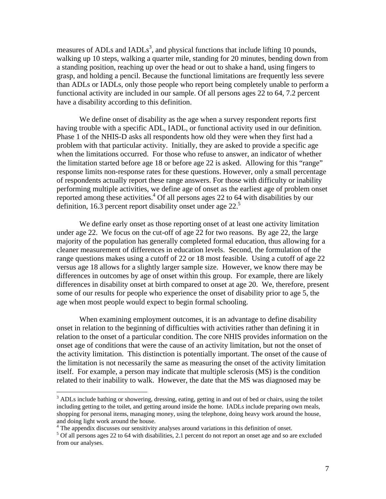measures of ADLs and  $IADLs<sup>3</sup>$ , and physical functions that include lifting 10 pounds, walking up 10 steps, walking a quarter mile, standing for 20 minutes, bending down from a standing position, reaching up over the head or out to shake a hand, using fingers to grasp, and holding a pencil. Because the functional limitations are frequently less severe than ADLs or IADLs, only those people who report being completely unable to perform a functional activity are included in our sample. Of all persons ages 22 to 64, 7.2 percent have a disability according to this definition.

We define onset of disability as the age when a survey respondent reports first having trouble with a specific ADL, IADL, or functional activity used in our definition. Phase 1 of the NHIS-D asks all respondents how old they were when they first had a problem with that particular activity. Initially, they are asked to provide a specific age when the limitations occurred. For those who refuse to answer, an indicator of whether the limitation started before age 18 or before age 22 is asked. Allowing for this "range" response limits non-response rates for these questions. However, only a small percentage of respondents actually report these range answers. For those with difficulty or inability performing multiple activities, we define age of onset as the earliest age of problem onset reported among these activities. $4$  Of all persons ages 22 to 64 with disabilities by our definition, 16.3 percent report disability onset under age 22.<sup>5</sup>

We define early onset as those reporting onset of at least one activity limitation under age 22. We focus on the cut-off of age 22 for two reasons. By age 22, the large majority of the population has generally completed formal education, thus allowing for a cleaner measurement of differences in education levels. Second, the formulation of the range questions makes using a cutoff of 22 or 18 most feasible. Using a cutoff of age 22 versus age 18 allows for a slightly larger sample size. However, we know there may be differences in outcomes by age of onset within this group. For example, there are likely differences in disability onset at birth compared to onset at age 20. We, therefore, present some of our results for people who experience the onset of disability prior to age 5, the age when most people would expect to begin formal schooling.

When examining employment outcomes, it is an advantage to define disability onset in relation to the beginning of difficulties with activities rather than defining it in relation to the onset of a particular condition. The core NHIS provides information on the onset age of conditions that were the cause of an activity limitation, but not the onset of the activity limitation. This distinction is potentially important. The onset of the cause of the limitation is not necessarily the same as measuring the onset of the activity limitation itself. For example, a person may indicate that multiple sclerosis (MS) is the condition related to their inability to walk. However, the date that the MS was diagnosed may be

 $\overline{a}$ 

<sup>&</sup>lt;sup>3</sup> ADLs include bathing or showering, dressing, eating, getting in and out of bed or chairs, using the toilet including getting to the toilet, and getting around inside the home. IADLs include preparing own meals, shopping for personal items, managing money, using the telephone, doing heavy work around the house, and doing light work around the house.

<sup>&</sup>lt;sup>4</sup> The appendix discusses our sensitivity analyses around variations in this definition of onset.

<sup>&</sup>lt;sup>5</sup> Of all persons ages 22 to 64 with disabilities, 2.1 percent do not report an onset age and so are excluded from our analyses.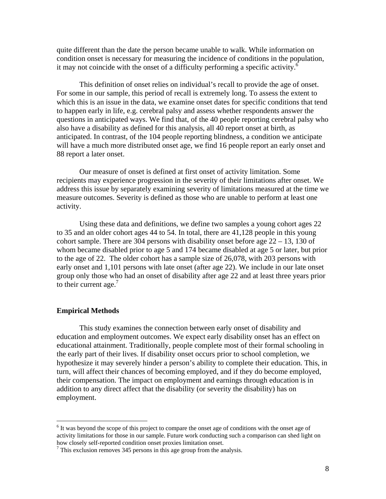quite different than the date the person became unable to walk. While information on condition onset is necessary for measuring the incidence of conditions in the population, it may not coincide with the onset of a difficulty performing a specific activity. $\frac{6}{5}$ 

This definition of onset relies on individual's recall to provide the age of onset. For some in our sample, this period of recall is extremely long. To assess the extent to which this is an issue in the data, we examine onset dates for specific conditions that tend to happen early in life, e.g. cerebral palsy and assess whether respondents answer the questions in anticipated ways. We find that, of the 40 people reporting cerebral palsy who also have a disability as defined for this analysis, all 40 report onset at birth, as anticipated. In contrast, of the 104 people reporting blindness, a condition we anticipate will have a much more distributed onset age, we find 16 people report an early onset and 88 report a later onset.

Our measure of onset is defined at first onset of activity limitation. Some recipients may experience progression in the severity of their limitations after onset. We address this issue by separately examining severity of limitations measured at the time we measure outcomes. Severity is defined as those who are unable to perform at least one activity.

Using these data and definitions, we define two samples a young cohort ages 22 to 35 and an older cohort ages 44 to 54. In total, there are 41,128 people in this young cohort sample. There are 304 persons with disability onset before age  $22 - 13$ , 130 of whom became disabled prior to age 5 and 174 became disabled at age 5 or later, but prior to the age of 22. The older cohort has a sample size of 26,078, with 203 persons with early onset and 1,101 persons with late onset (after age 22). We include in our late onset group only those who had an onset of disability after age 22 and at least three years prior to their current age.<sup>7</sup>

### **Empirical Methods**

 $\overline{a}$ 

This study examines the connection between early onset of disability and education and employment outcomes. We expect early disability onset has an effect on educational attainment. Traditionally, people complete most of their formal schooling in the early part of their lives. If disability onset occurs prior to school completion, we hypothesize it may severely hinder a person's ability to complete their education. This, in turn, will affect their chances of becoming employed, and if they do become employed, their compensation. The impact on employment and earnings through education is in addition to any direct affect that the disability (or severity the disability) has on employment.

<sup>&</sup>lt;sup>6</sup> It was beyond the scope of this project to compare the onset age of conditions with the onset age of activity limitations for those in our sample. Future work conducting such a comparison can shed light on how closely self-reported condition onset proxies limitation onset.

 $\frac{7}{1}$  This exclusion removes 345 persons in this age group from the analysis.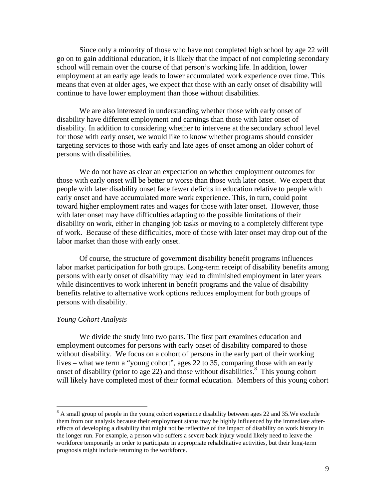Since only a minority of those who have not completed high school by age 22 will go on to gain additional education, it is likely that the impact of not completing secondary school will remain over the course of that person's working life. In addition, lower employment at an early age leads to lower accumulated work experience over time. This means that even at older ages, we expect that those with an early onset of disability will continue to have lower employment than those without disabilities.

We are also interested in understanding whether those with early onset of disability have different employment and earnings than those with later onset of disability. In addition to considering whether to intervene at the secondary school level for those with early onset, we would like to know whether programs should consider targeting services to those with early and late ages of onset among an older cohort of persons with disabilities.

We do not have as clear an expectation on whether employment outcomes for those with early onset will be better or worse than those with later onset. We expect that people with later disability onset face fewer deficits in education relative to people with early onset and have accumulated more work experience. This, in turn, could point toward higher employment rates and wages for those with later onset. However, those with later onset may have difficulties adapting to the possible limitations of their disability on work, either in changing job tasks or moving to a completely different type of work. Because of these difficulties, more of those with later onset may drop out of the labor market than those with early onset.

Of course, the structure of government disability benefit programs influences labor market participation for both groups. Long-term receipt of disability benefits among persons with early onset of disability may lead to diminished employment in later years while disincentives to work inherent in benefit programs and the value of disability benefits relative to alternative work options reduces employment for both groups of persons with disability.

## *Young Cohort Analysis*

 $\overline{a}$ 

We divide the study into two parts. The first part examines education and employment outcomes for persons with early onset of disability compared to those without disability. We focus on a cohort of persons in the early part of their working lives – what we term a "young cohort", ages 22 to 35, comparing those with an early onset of disability (prior to age 22) and those without disabilities.<sup>8</sup> This young cohort will likely have completed most of their formal education. Members of this young cohort

 $8$  A small group of people in the young cohort experience disability between ages 22 and 35. We exclude them from our analysis because their employment status may be highly influenced by the immediate aftereffects of developing a disability that might not be reflective of the impact of disability on work history in the longer run. For example, a person who suffers a severe back injury would likely need to leave the workforce temporarily in order to participate in appropriate rehabilitative activities, but their long-term prognosis might include returning to the workforce.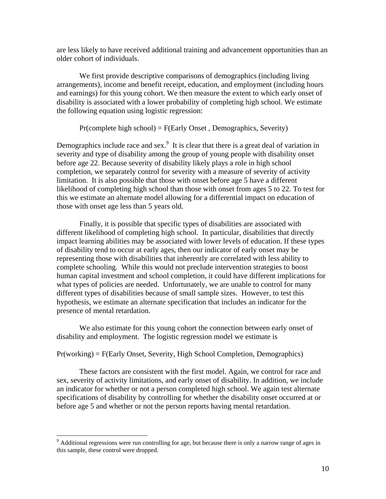are less likely to have received additional training and advancement opportunities than an older cohort of individuals.

We first provide descriptive comparisons of demographics (including living arrangements), income and benefit receipt, education, and employment (including hours and earnings) for this young cohort. We then measure the extent to which early onset of disability is associated with a lower probability of completing high school. We estimate the following equation using logistic regression:

Pr(complete high school) = F(Early Onset , Demographics, Severity)

Demographics include race and sex.<sup>9</sup> It is clear that there is a great deal of variation in severity and type of disability among the group of young people with disability onset before age 22. Because severity of disability likely plays a role in high school completion, we separately control for severity with a measure of severity of activity limitation. It is also possible that those with onset before age 5 have a different likelihood of completing high school than those with onset from ages 5 to 22. To test for this we estimate an alternate model allowing for a differential impact on education of those with onset age less than 5 years old.

Finally, it is possible that specific types of disabilities are associated with different likelihood of completing high school. In particular, disabilities that directly impact learning abilities may be associated with lower levels of education. If these types of disability tend to occur at early ages, then our indicator of early onset may be representing those with disabilities that inherently are correlated with less ability to complete schooling. While this would not preclude intervention strategies to boost human capital investment and school completion, it could have different implications for what types of policies are needed. Unfortunately, we are unable to control for many different types of disabilities because of small sample sizes. However, to test this hypothesis, we estimate an alternate specification that includes an indicator for the presence of mental retardation.

We also estimate for this young cohort the connection between early onset of disability and employment. The logistic regression model we estimate is

Pr(working) = F(Early Onset, Severity, High School Completion, Demographics)

These factors are consistent with the first model. Again, we control for race and sex, severity of activity limitations, and early onset of disability. In addition, we include an indicator for whether or not a person completed high school. We again test alternate specifications of disability by controlling for whether the disability onset occurred at or before age 5 and whether or not the person reports having mental retardation.

 $\overline{a}$ 

<sup>&</sup>lt;sup>9</sup> Additional regressions were run controlling for age, but because there is only a narrow range of ages in this sample, these control were dropped.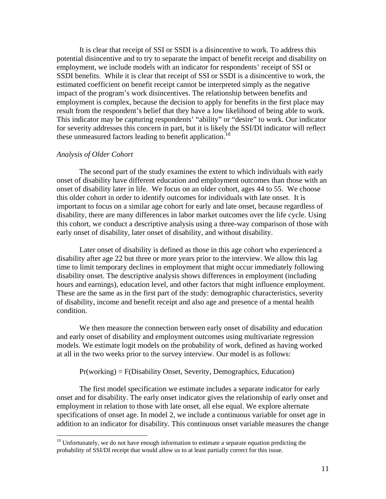It is clear that receipt of SSI or SSDI is a disincentive to work. To address this potential disincentive and to try to separate the impact of benefit receipt and disability on employment, we include models with an indicator for respondents' receipt of SSI or SSDI benefits. While it is clear that receipt of SSI or SSDI is a disincentive to work, the estimated coefficient on benefit receipt cannot be interpreted simply as the negative impact of the program's work disincentives. The relationship between benefits and employment is complex, because the decision to apply for benefits in the first place may result from the respondent's belief that they have a low likelihood of being able to work. This indicator may be capturing respondents' "ability" or "desire" to work. Our indicator for severity addresses this concern in part, but it is likely the SSI/DI indicator will reflect these unmeasured factors leading to benefit application.<sup>10</sup>

### *Analysis of Older Cohort*

 $\overline{a}$ 

The second part of the study examines the extent to which individuals with early onset of disability have different education and employment outcomes than those with an onset of disability later in life. We focus on an older cohort, ages 44 to 55. We choose this older cohort in order to identify outcomes for individuals with late onset. It is important to focus on a similar age cohort for early and late onset, because regardless of disability, there are many differences in labor market outcomes over the life cycle. Using this cohort, we conduct a descriptive analysis using a three-way comparison of those with early onset of disability, later onset of disability, and without disability.

Later onset of disability is defined as those in this age cohort who experienced a disability after age 22 but three or more years prior to the interview. We allow this lag time to limit temporary declines in employment that might occur immediately following disability onset. The descriptive analysis shows differences in employment (including hours and earnings), education level, and other factors that might influence employment. These are the same as in the first part of the study: demographic characteristics, severity of disability, income and benefit receipt and also age and presence of a mental health condition.

We then measure the connection between early onset of disability and education and early onset of disability and employment outcomes using multivariate regression models. We estimate logit models on the probability of work, defined as having worked at all in the two weeks prior to the survey interview. Our model is as follows:

 $Pr(working) = F(Disability Onset, Severity, Demographies, Education)$ 

 The first model specification we estimate includes a separate indicator for early onset and for disability. The early onset indicator gives the relationship of early onset and employment in relation to those with late onset, all else equal. We explore alternate specifications of onset age. In model 2, we include a continuous variable for onset age in addition to an indicator for disability. This continuous onset variable measures the change

 $10$  Unfortunately, we do not have enough information to estimate a separate equation predicting the probability of SSI/DI receipt that would allow us to at least partially correct for this issue.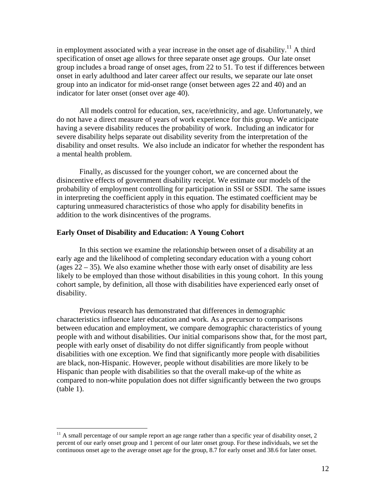in employment associated with a year increase in the onset age of disability.<sup>11</sup> A third specification of onset age allows for three separate onset age groups. Our late onset group includes a broad range of onset ages, from 22 to 51. To test if differences between onset in early adulthood and later career affect our results, we separate our late onset group into an indicator for mid-onset range (onset between ages 22 and 40) and an indicator for later onset (onset over age 40).

 All models control for education, sex, race/ethnicity, and age. Unfortunately, we do not have a direct measure of years of work experience for this group. We anticipate having a severe disability reduces the probability of work. Including an indicator for severe disability helps separate out disability severity from the interpretation of the disability and onset results. We also include an indicator for whether the respondent has a mental health problem.

 Finally, as discussed for the younger cohort, we are concerned about the disincentive effects of government disability receipt. We estimate our models of the probability of employment controlling for participation in SSI or SSDI. The same issues in interpreting the coefficient apply in this equation. The estimated coefficient may be capturing unmeasured characteristics of those who apply for disability benefits in addition to the work disincentives of the programs.

## **Early Onset of Disability and Education: A Young Cohort**

1

 In this section we examine the relationship between onset of a disability at an early age and the likelihood of completing secondary education with a young cohort (ages  $22 - 35$ ). We also examine whether those with early onset of disability are less likely to be employed than those without disabilities in this young cohort. In this young cohort sample, by definition, all those with disabilities have experienced early onset of disability.

Previous research has demonstrated that differences in demographic characteristics influence later education and work. As a precursor to comparisons between education and employment, we compare demographic characteristics of young people with and without disabilities. Our initial comparisons show that, for the most part, people with early onset of disability do not differ significantly from people without disabilities with one exception. We find that significantly more people with disabilities are black, non-Hispanic. However, people without disabilities are more likely to be Hispanic than people with disabilities so that the overall make-up of the white as compared to non-white population does not differ significantly between the two groups  $(table 1)$ .

 $11$  A small percentage of our sample report an age range rather than a specific year of disability onset, 2 percent of our early onset group and 1 percent of our later onset group. For these individuals, we set the continuous onset age to the average onset age for the group, 8.7 for early onset and 38.6 for later onset.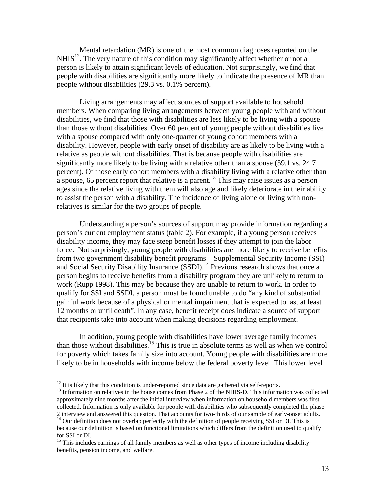Mental retardation (MR) is one of the most common diagnoses reported on the  $NHIS<sup>12</sup>$ . The very nature of this condition may significantly affect whether or not a person is likely to attain significant levels of education. Not surprisingly, we find that people with disabilities are significantly more likely to indicate the presence of MR than people without disabilities (29.3 vs. 0.1% percent).

Living arrangements may affect sources of support available to household members. When comparing living arrangements between young people with and without disabilities, we find that those with disabilities are less likely to be living with a spouse than those without disabilities. Over 60 percent of young people without disabilities live with a spouse compared with only one-quarter of young cohort members with a disability. However, people with early onset of disability are as likely to be living with a relative as people without disabilities. That is because people with disabilities are significantly more likely to be living with a relative other than a spouse (59.1 vs. 24.7 percent). Of those early cohort members with a disability living with a relative other than a spouse, 65 percent report that relative is a parent.<sup>13</sup> This may raise issues as a person ages since the relative living with them will also age and likely deteriorate in their ability to assist the person with a disability. The incidence of living alone or living with nonrelatives is similar for the two groups of people.

Understanding a person's sources of support may provide information regarding a person's current employment status (table 2). For example, if a young person receives disability income, they may face steep benefit losses if they attempt to join the labor force. Not surprisingly, young people with disabilities are more likely to receive benefits from two government disability benefit programs – Supplemental Security Income (SSI) and Social Security Disability Insurance (SSDI).<sup>14</sup> Previous research shows that once a person begins to receive benefits from a disability program they are unlikely to return to work (Rupp 1998). This may be because they are unable to return to work. In order to qualify for SSI and SSDI, a person must be found unable to do "any kind of substantial gainful work because of a physical or mental impairment that is expected to last at least 12 months or until death". In any case, benefit receipt does indicate a source of support that recipients take into account when making decisions regarding employment.

In addition, young people with disabilities have lower average family incomes than those without disabilities.<sup>15</sup> This is true in absolute terms as well as when we control for poverty which takes family size into account. Young people with disabilities are more likely to be in households with income below the federal poverty level. This lower level

 $\overline{a}$ 

<sup>&</sup>lt;sup>12</sup> It is likely that this condition is under-reported since data are gathered via self-reports.<br><sup>13</sup> Information on relatives in the house comes from Phase 2 of the NHIS-D. This information was collected approximately nine months after the initial interview when information on household members was first collected. Information is only available for people with disabilities who subsequently completed the phase

<sup>2</sup> interview and answered this question. That accounts for two-thirds of our sample of early-onset adults. 14 Our definition does not overlap perfectly with the definition of people receiving SSI or DI. This is because our definition is based on functional limitations which differs from the definition used to qualify for SSI or DI.

<sup>&</sup>lt;sup>15</sup> This includes earnings of all family members as well as other types of income including disability benefits, pension income, and welfare.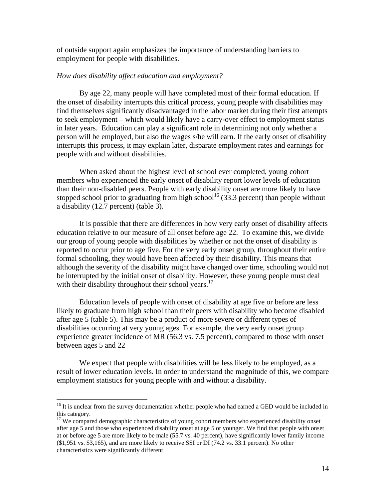of outside support again emphasizes the importance of understanding barriers to employment for people with disabilities.

## *How does disability affect education and employment?*

By age 22, many people will have completed most of their formal education. If the onset of disability interrupts this critical process, young people with disabilities may find themselves significantly disadvantaged in the labor market during their first attempts to seek employment – which would likely have a carry-over effect to employment status in later years. Education can play a significant role in determining not only whether a person will be employed, but also the wages s/he will earn. If the early onset of disability interrupts this process, it may explain later, disparate employment rates and earnings for people with and without disabilities.

When asked about the highest level of school ever completed, young cohort members who experienced the early onset of disability report lower levels of education than their non-disabled peers. People with early disability onset are more likely to have stopped school prior to graduating from high school<sup>16</sup> (33.3 percent) than people without a disability (12.7 percent) (table 3).

It is possible that there are differences in how very early onset of disability affects education relative to our measure of all onset before age 22. To examine this, we divide our group of young people with disabilities by whether or not the onset of disability is reported to occur prior to age five. For the very early onset group, throughout their entire formal schooling, they would have been affected by their disability. This means that although the severity of the disability might have changed over time, schooling would not be interrupted by the initial onset of disability. However, these young people must deal with their disability throughout their school years.<sup>17</sup>

Education levels of people with onset of disability at age five or before are less likely to graduate from high school than their peers with disability who become disabled after age 5 (table 5). This may be a product of more severe or different types of disabilities occurring at very young ages. For example, the very early onset group experience greater incidence of MR (56.3 vs. 7.5 percent), compared to those with onset between ages 5 and 22

We expect that people with disabilities will be less likely to be employed, as a result of lower education levels. In order to understand the magnitude of this, we compare employment statistics for young people with and without a disability.

 $\overline{a}$ 

<sup>&</sup>lt;sup>16</sup> It is unclear from the survey documentation whether people who had earned a GED would be included in this category.

<sup>&</sup>lt;sup>17</sup> We compared demographic characteristics of young cohort members who experienced disability onset after age 5 and those who experienced disability onset at age 5 or younger. We find that people with onset at or before age 5 are more likely to be male (55.7 vs. 40 percent), have significantly lower family income (\$1,951 vs. \$3,165), and are more likely to receive SSI or DI (74.2 vs. 33.1 percent). No other characteristics were significantly different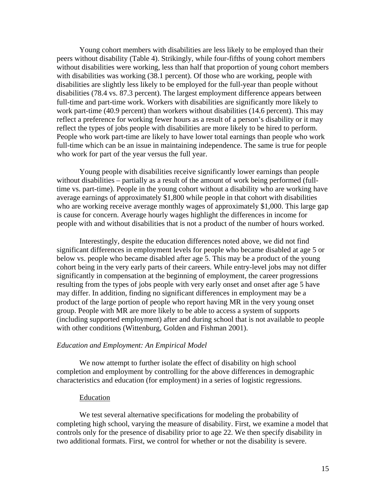Young cohort members with disabilities are less likely to be employed than their peers without disability (Table 4). Strikingly, while four-fifths of young cohort members without disabilities were working, less than half that proportion of young cohort members with disabilities was working (38.1 percent). Of those who are working, people with disabilities are slightly less likely to be employed for the full-year than people without disabilities (78.4 vs. 87.3 percent). The largest employment difference appears between full-time and part-time work. Workers with disabilities are significantly more likely to work part-time (40.9 percent) than workers without disabilities (14.6 percent). This may reflect a preference for working fewer hours as a result of a person's disability or it may reflect the types of jobs people with disabilities are more likely to be hired to perform. People who work part-time are likely to have lower total earnings than people who work full-time which can be an issue in maintaining independence. The same is true for people who work for part of the year versus the full year.

Young people with disabilities receive significantly lower earnings than people without disabilities – partially as a result of the amount of work being performed (fulltime vs. part-time). People in the young cohort without a disability who are working have average earnings of approximately \$1,800 while people in that cohort with disabilities who are working receive average monthly wages of approximately \$1,000. This large gap is cause for concern. Average hourly wages highlight the differences in income for people with and without disabilities that is not a product of the number of hours worked.

 Interestingly, despite the education differences noted above, we did not find significant differences in employment levels for people who became disabled at age 5 or below vs. people who became disabled after age 5. This may be a product of the young cohort being in the very early parts of their careers. While entry-level jobs may not differ significantly in compensation at the beginning of employment, the career progressions resulting from the types of jobs people with very early onset and onset after age 5 have may differ. In addition, finding no significant differences in employment may be a product of the large portion of people who report having MR in the very young onset group. People with MR are more likely to be able to access a system of supports (including supported employment) after and during school that is not available to people with other conditions (Wittenburg, Golden and Fishman 2001).

## *Education and Employment: An Empirical Model*

 We now attempt to further isolate the effect of disability on high school completion and employment by controlling for the above differences in demographic characteristics and education (for employment) in a series of logistic regressions.

#### Education

We test several alternative specifications for modeling the probability of completing high school, varying the measure of disability. First, we examine a model that controls only for the presence of disability prior to age 22. We then specify disability in two additional formats. First, we control for whether or not the disability is severe.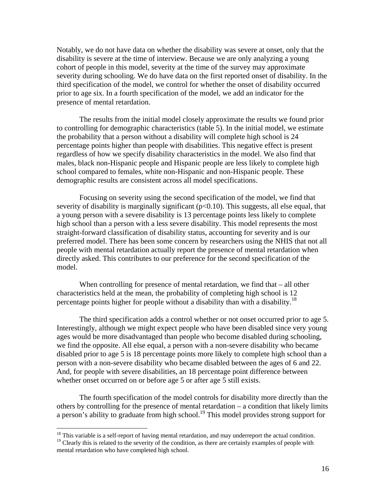Notably, we do not have data on whether the disability was severe at onset, only that the disability is severe at the time of interview. Because we are only analyzing a young cohort of people in this model, severity at the time of the survey may approximate severity during schooling. We do have data on the first reported onset of disability. In the third specification of the model, we control for whether the onset of disability occurred prior to age six. In a fourth specification of the model, we add an indicator for the presence of mental retardation.

The results from the initial model closely approximate the results we found prior to controlling for demographic characteristics (table 5). In the initial model, we estimate the probability that a person without a disability will complete high school is 24 percentage points higher than people with disabilities. This negative effect is present regardless of how we specify disability characteristics in the model. We also find that males, black non-Hispanic people and Hispanic people are less likely to complete high school compared to females, white non-Hispanic and non-Hispanic people. These demographic results are consistent across all model specifications.

Focusing on severity using the second specification of the model, we find that severity of disability is marginally significant ( $p<0.10$ ). This suggests, all else equal, that a young person with a severe disability is 13 percentage points less likely to complete high school than a person with a less severe disability. This model represents the most straight-forward classification of disability status, accounting for severity and is our preferred model. There has been some concern by researchers using the NHIS that not all people with mental retardation actually report the presence of mental retardation when directly asked. This contributes to our preference for the second specification of the model.

When controlling for presence of mental retardation, we find that – all other characteristics held at the mean, the probability of completing high school is 12 percentage points higher for people without a disability than with a disability.18

The third specification adds a control whether or not onset occurred prior to age 5. Interestingly, although we might expect people who have been disabled since very young ages would be more disadvantaged than people who become disabled during schooling, we find the opposite. All else equal, a person with a non-severe disability who became disabled prior to age 5 is 18 percentage points more likely to complete high school than a person with a non-severe disability who became disabled between the ages of 6 and 22. And, for people with severe disabilities, an 18 percentage point difference between whether onset occurred on or before age 5 or after age 5 still exists.

 The fourth specification of the model controls for disability more directly than the others by controlling for the presence of mental retardation – a condition that likely limits a person's ability to graduate from high school.<sup>19</sup> This model provides strong support for

1

 $18$  This variable is a self-report of having mental retardation, and may underreport the actual condition.

<sup>&</sup>lt;sup>19</sup> Clearly this is related to the severity of the condition, as there are certainly examples of people with mental retardation who have completed high school.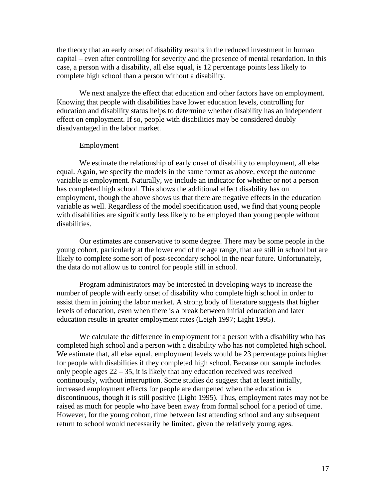the theory that an early onset of disability results in the reduced investment in human capital – even after controlling for severity and the presence of mental retardation. In this case, a person with a disability, all else equal, is 12 percentage points less likely to complete high school than a person without a disability.

We next analyze the effect that education and other factors have on employment. Knowing that people with disabilities have lower education levels, controlling for education and disability status helps to determine whether disability has an independent effect on employment. If so, people with disabilities may be considered doubly disadvantaged in the labor market.

## Employment

We estimate the relationship of early onset of disability to employment, all else equal. Again, we specify the models in the same format as above, except the outcome variable is employment. Naturally, we include an indicator for whether or not a person has completed high school. This shows the additional effect disability has on employment, though the above shows us that there are negative effects in the education variable as well. Regardless of the model specification used, we find that young people with disabilities are significantly less likely to be employed than young people without disabilities.

Our estimates are conservative to some degree. There may be some people in the young cohort, particularly at the lower end of the age range, that are still in school but are likely to complete some sort of post-secondary school in the near future. Unfortunately, the data do not allow us to control for people still in school.

Program administrators may be interested in developing ways to increase the number of people with early onset of disability who complete high school in order to assist them in joining the labor market. A strong body of literature suggests that higher levels of education, even when there is a break between initial education and later education results in greater employment rates (Leigh 1997; Light 1995).

We calculate the difference in employment for a person with a disability who has completed high school and a person with a disability who has not completed high school. We estimate that, all else equal, employment levels would be 23 percentage points higher for people with disabilities if they completed high school. Because our sample includes only people ages 22 – 35, it is likely that any education received was received continuously, without interruption. Some studies do suggest that at least initially, increased employment effects for people are dampened when the education is discontinuous, though it is still positive (Light 1995). Thus, employment rates may not be raised as much for people who have been away from formal school for a period of time. However, for the young cohort, time between last attending school and any subsequent return to school would necessarily be limited, given the relatively young ages.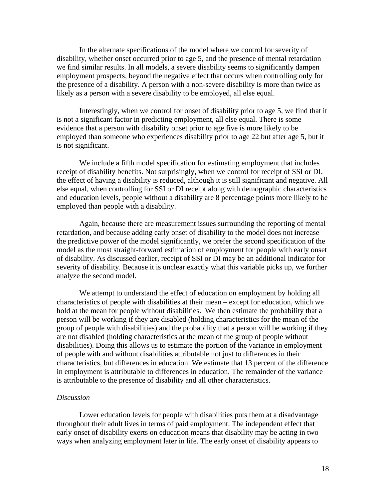In the alternate specifications of the model where we control for severity of disability, whether onset occurred prior to age 5, and the presence of mental retardation we find similar results. In all models, a severe disability seems to significantly dampen employment prospects, beyond the negative effect that occurs when controlling only for the presence of a disability. A person with a non-severe disability is more than twice as likely as a person with a severe disability to be employed, all else equal.

Interestingly, when we control for onset of disability prior to age 5, we find that it is not a significant factor in predicting employment, all else equal. There is some evidence that a person with disability onset prior to age five is more likely to be employed than someone who experiences disability prior to age 22 but after age 5, but it is not significant.

We include a fifth model specification for estimating employment that includes receipt of disability benefits. Not surprisingly, when we control for receipt of SSI or DI, the effect of having a disability is reduced, although it is still significant and negative. All else equal, when controlling for SSI or DI receipt along with demographic characteristics and education levels, people without a disability are 8 percentage points more likely to be employed than people with a disability.

Again, because there are measurement issues surrounding the reporting of mental retardation, and because adding early onset of disability to the model does not increase the predictive power of the model significantly, we prefer the second specification of the model as the most straight-forward estimation of employment for people with early onset of disability. As discussed earlier, receipt of SSI or DI may be an additional indicator for severity of disability. Because it is unclear exactly what this variable picks up, we further analyze the second model.

We attempt to understand the effect of education on employment by holding all characteristics of people with disabilities at their mean – except for education, which we hold at the mean for people without disabilities. We then estimate the probability that a person will be working if they are disabled (holding characteristics for the mean of the group of people with disabilities) and the probability that a person will be working if they are not disabled (holding characteristics at the mean of the group of people without disabilities). Doing this allows us to estimate the portion of the variance in employment of people with and without disabilities attributable not just to differences in their characteristics, but differences in education. We estimate that 13 percent of the difference in employment is attributable to differences in education. The remainder of the variance is attributable to the presence of disability and all other characteristics.

### *Discussion*

Lower education levels for people with disabilities puts them at a disadvantage throughout their adult lives in terms of paid employment. The independent effect that early onset of disability exerts on education means that disability may be acting in two ways when analyzing employment later in life. The early onset of disability appears to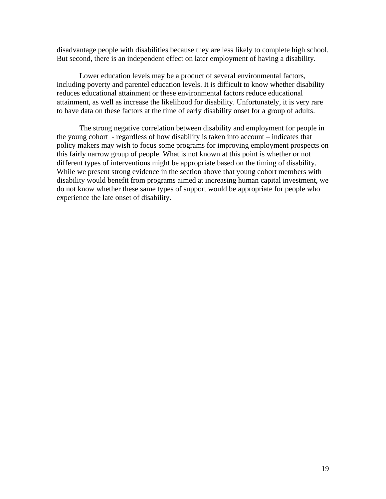disadvantage people with disabilities because they are less likely to complete high school. But second, there is an independent effect on later employment of having a disability.

 Lower education levels may be a product of several environmental factors, including poverty and parentel education levels. It is difficult to know whether disability reduces educational attainment or these environmental factors reduce educational attainment, as well as increase the likelihood for disability. Unfortunately, it is very rare to have data on these factors at the time of early disability onset for a group of adults.

 The strong negative correlation between disability and employment for people in the young cohort - regardless of how disability is taken into account – indicates that policy makers may wish to focus some programs for improving employment prospects on this fairly narrow group of people. What is not known at this point is whether or not different types of interventions might be appropriate based on the timing of disability. While we present strong evidence in the section above that young cohort members with disability would benefit from programs aimed at increasing human capital investment, we do not know whether these same types of support would be appropriate for people who experience the late onset of disability.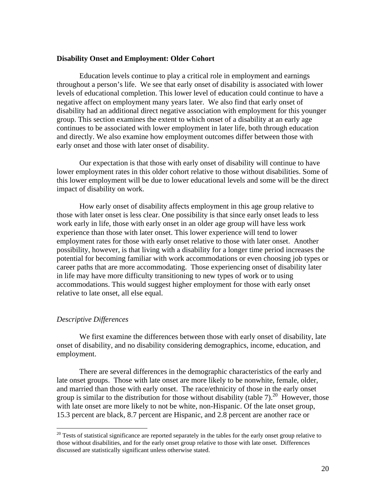## **Disability Onset and Employment: Older Cohort**

 Education levels continue to play a critical role in employment and earnings throughout a person's life. We see that early onset of disability is associated with lower levels of educational completion. This lower level of education could continue to have a negative affect on employment many years later. We also find that early onset of disability had an additional direct negative association with employment for this younger group. This section examines the extent to which onset of a disability at an early age continues to be associated with lower employment in later life, both through education and directly. We also examine how employment outcomes differ between those with early onset and those with later onset of disability.

 Our expectation is that those with early onset of disability will continue to have lower employment rates in this older cohort relative to those without disabilities. Some of this lower employment will be due to lower educational levels and some will be the direct impact of disability on work.

 How early onset of disability affects employment in this age group relative to those with later onset is less clear. One possibility is that since early onset leads to less work early in life, those with early onset in an older age group will have less work experience than those with later onset. This lower experience will tend to lower employment rates for those with early onset relative to those with later onset. Another possibility, however, is that living with a disability for a longer time period increases the potential for becoming familiar with work accommodations or even choosing job types or career paths that are more accommodating. Those experiencing onset of disability later in life may have more difficulty transitioning to new types of work or to using accommodations. This would suggest higher employment for those with early onset relative to late onset, all else equal.

## *Descriptive Differences*

 $\overline{a}$ 

 We first examine the differences between those with early onset of disability, late onset of disability, and no disability considering demographics, income, education, and employment.

There are several differences in the demographic characteristics of the early and late onset groups. Those with late onset are more likely to be nonwhite, female, older, and married than those with early onset. The race/ethnicity of those in the early onset group is similar to the distribution for those without disability (table 7).<sup>20</sup> However, those with late onset are more likely to not be white, non-Hispanic. Of the late onset group, 15.3 percent are black, 8.7 percent are Hispanic, and 2.8 percent are another race or

 $20$  Tests of statistical significance are reported separately in the tables for the early onset group relative to those without disabilities, and for the early onset group relative to those with late onset. Differences discussed are statistically significant unless otherwise stated.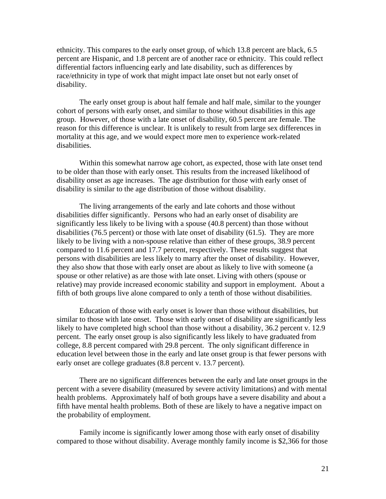ethnicity. This compares to the early onset group, of which 13.8 percent are black, 6.5 percent are Hispanic, and 1.8 percent are of another race or ethnicity. This could reflect differential factors influencing early and late disability, such as differences by race/ethnicity in type of work that might impact late onset but not early onset of disability.

The early onset group is about half female and half male, similar to the younger cohort of persons with early onset, and similar to those without disabilities in this age group. However, of those with a late onset of disability, 60.5 percent are female. The reason for this difference is unclear. It is unlikely to result from large sex differences in mortality at this age, and we would expect more men to experience work-related disabilities.

 Within this somewhat narrow age cohort, as expected, those with late onset tend to be older than those with early onset. This results from the increased likelihood of disability onset as age increases. The age distribution for those with early onset of disability is similar to the age distribution of those without disability.

 The living arrangements of the early and late cohorts and those without disabilities differ significantly. Persons who had an early onset of disability are significantly less likely to be living with a spouse (40.8 percent) than those without disabilities (76.5 percent) or those with late onset of disability (61.5). They are more likely to be living with a non-spouse relative than either of these groups, 38.9 percent compared to 11.6 percent and 17.7 percent, respectively. These results suggest that persons with disabilities are less likely to marry after the onset of disability. However, they also show that those with early onset are about as likely to live with someone (a spouse or other relative) as are those with late onset. Living with others (spouse or relative) may provide increased economic stability and support in employment. About a fifth of both groups live alone compared to only a tenth of those without disabilities.

 Education of those with early onset is lower than those without disabilities, but similar to those with late onset. Those with early onset of disability are significantly less likely to have completed high school than those without a disability, 36.2 percent v. 12.9 percent. The early onset group is also significantly less likely to have graduated from college, 8.8 percent compared with 29.8 percent. The only significant difference in education level between those in the early and late onset group is that fewer persons with early onset are college graduates (8.8 percent v. 13.7 percent).

 There are no significant differences between the early and late onset groups in the percent with a severe disability (measured by severe activity limitations) and with mental health problems. Approximately half of both groups have a severe disability and about a fifth have mental health problems. Both of these are likely to have a negative impact on the probability of employment.

Family income is significantly lower among those with early onset of disability compared to those without disability. Average monthly family income is \$2,366 for those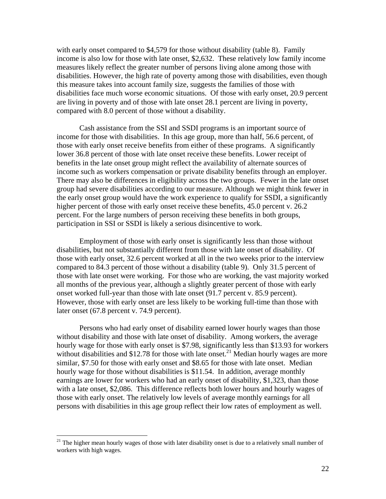with early onset compared to \$4,579 for those without disability (table 8). Family income is also low for those with late onset, \$2,632. These relatively low family income measures likely reflect the greater number of persons living alone among those with disabilities. However, the high rate of poverty among those with disabilities, even though this measure takes into account family size, suggests the families of those with disabilities face much worse economic situations. Of those with early onset, 20.9 percent are living in poverty and of those with late onset 28.1 percent are living in poverty, compared with 8.0 percent of those without a disability.

Cash assistance from the SSI and SSDI programs is an important source of income for those with disabilities. In this age group, more than half, 56.6 percent, of those with early onset receive benefits from either of these programs. A significantly lower 36.8 percent of those with late onset receive these benefits. Lower receipt of benefits in the late onset group might reflect the availability of alternate sources of income such as workers compensation or private disability benefits through an employer. There may also be differences in eligibility across the two groups. Fewer in the late onset group had severe disabilities according to our measure. Although we might think fewer in the early onset group would have the work experience to qualify for SSDI, a significantly higher percent of those with early onset receive these benefits, 45.0 percent v. 26.2 percent. For the large numbers of person receiving these benefits in both groups, participation in SSI or SSDI is likely a serious disincentive to work.

 Employment of those with early onset is significantly less than those without disabilities, but not substantially different from those with late onset of disability. Of those with early onset, 32.6 percent worked at all in the two weeks prior to the interview compared to 84.3 percent of those without a disability (table 9). Only 31.5 percent of those with late onset were working. For those who are working, the vast majority worked all months of the previous year, although a slightly greater percent of those with early onset worked full-year than those with late onset (91.7 percent v. 85.9 percent). However, those with early onset are less likely to be working full-time than those with later onset (67.8 percent v. 74.9 percent).

 Persons who had early onset of disability earned lower hourly wages than those without disability and those with late onset of disability. Among workers, the average hourly wage for those with early onset is \$7.98, significantly less than \$13.93 for workers without disabilities and  $$12.78$  for those with late onset.<sup>21</sup> Median hourly wages are more similar, \$7.50 for those with early onset and \$8.65 for those with late onset. Median hourly wage for those without disabilities is \$11.54. In addition, average monthly earnings are lower for workers who had an early onset of disability, \$1,323, than those with a late onset, \$2,086. This difference reflects both lower hours and hourly wages of those with early onset. The relatively low levels of average monthly earnings for all persons with disabilities in this age group reflect their low rates of employment as well.

1

<sup>&</sup>lt;sup>21</sup> The higher mean hourly wages of those with later disability onset is due to a relatively small number of workers with high wages.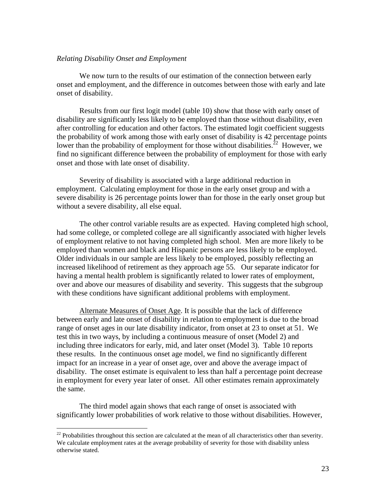## *Relating Disability Onset and Employment*

 We now turn to the results of our estimation of the connection between early onset and employment, and the difference in outcomes between those with early and late onset of disability.

 Results from our first logit model (table 10) show that those with early onset of disability are significantly less likely to be employed than those without disability, even after controlling for education and other factors. The estimated logit coefficient suggests the probability of work among those with early onset of disability is 42 percentage points lower than the probability of employment for those without disabilities.<sup>22</sup> However, we find no significant difference between the probability of employment for those with early onset and those with late onset of disability.

 Severity of disability is associated with a large additional reduction in employment. Calculating employment for those in the early onset group and with a severe disability is 26 percentage points lower than for those in the early onset group but without a severe disability, all else equal.

 The other control variable results are as expected. Having completed high school, had some college, or completed college are all significantly associated with higher levels of employment relative to not having completed high school. Men are more likely to be employed than women and black and Hispanic persons are less likely to be employed. Older individuals in our sample are less likely to be employed, possibly reflecting an increased likelihood of retirement as they approach age 55. Our separate indicator for having a mental health problem is significantly related to lower rates of employment, over and above our measures of disability and severity. This suggests that the subgroup with these conditions have significant additional problems with employment.

Alternate Measures of Onset Age. It is possible that the lack of difference between early and late onset of disability in relation to employment is due to the broad range of onset ages in our late disability indicator, from onset at 23 to onset at 51. We test this in two ways, by including a continuous measure of onset (Model 2) and including three indicators for early, mid, and later onset (Model 3). Table 10 reports these results. In the continuous onset age model, we find no significantly different impact for an increase in a year of onset age, over and above the average impact of disability. The onset estimate is equivalent to less than half a percentage point decrease in employment for every year later of onset. All other estimates remain approximately the same.

 The third model again shows that each range of onset is associated with significantly lower probabilities of work relative to those without disabilities. However,

 $\overline{a}$ 

<sup>&</sup>lt;sup>22</sup> Probabilities throughout this section are calculated at the mean of all characteristics other than severity. We calculate employment rates at the average probability of severity for those with disability unless otherwise stated.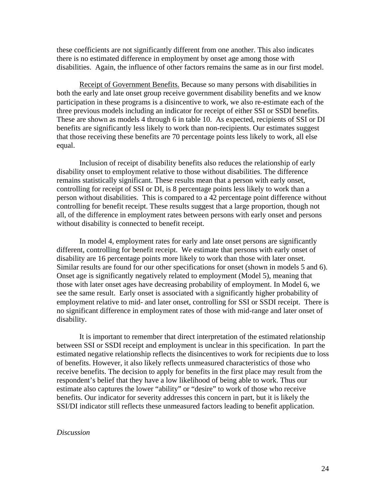these coefficients are not significantly different from one another. This also indicates there is no estimated difference in employment by onset age among those with disabilities. Again, the influence of other factors remains the same as in our first model.

 Receipt of Government Benefits. Because so many persons with disabilities in both the early and late onset group receive government disability benefits and we know participation in these programs is a disincentive to work, we also re-estimate each of the three previous models including an indicator for receipt of either SSI or SSDI benefits. These are shown as models 4 through 6 in table 10. As expected, recipients of SSI or DI benefits are significantly less likely to work than non-recipients. Our estimates suggest that those receiving these benefits are 70 percentage points less likely to work, all else equal.

Inclusion of receipt of disability benefits also reduces the relationship of early disability onset to employment relative to those without disabilities. The difference remains statistically significant. These results mean that a person with early onset, controlling for receipt of SSI or DI, is 8 percentage points less likely to work than a person without disabilities. This is compared to a 42 percentage point difference without controlling for benefit receipt. These results suggest that a large proportion, though not all, of the difference in employment rates between persons with early onset and persons without disability is connected to benefit receipt.

In model 4, employment rates for early and late onset persons are significantly different, controlling for benefit receipt. We estimate that persons with early onset of disability are 16 percentage points more likely to work than those with later onset. Similar results are found for our other specifications for onset (shown in models 5 and 6). Onset age is significantly negatively related to employment (Model 5), meaning that those with later onset ages have decreasing probability of employment. In Model 6, we see the same result. Early onset is associated with a significantly higher probability of employment relative to mid- and later onset, controlling for SSI or SSDI receipt. There is no significant difference in employment rates of those with mid-range and later onset of disability.

It is important to remember that direct interpretation of the estimated relationship between SSI or SSDI receipt and employment is unclear in this specification. In part the estimated negative relationship reflects the disincentives to work for recipients due to loss of benefits. However, it also likely reflects unmeasured characteristics of those who receive benefits. The decision to apply for benefits in the first place may result from the respondent's belief that they have a low likelihood of being able to work. Thus our estimate also captures the lower "ability" or "desire" to work of those who receive benefits. Our indicator for severity addresses this concern in part, but it is likely the SSI/DI indicator still reflects these unmeasured factors leading to benefit application.

#### *Discussion*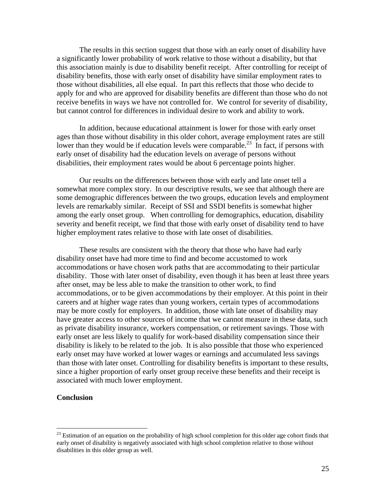The results in this section suggest that those with an early onset of disability have a significantly lower probability of work relative to those without a disability, but that this association mainly is due to disability benefit receipt. After controlling for receipt of disability benefits, those with early onset of disability have similar employment rates to those without disabilities, all else equal. In part this reflects that those who decide to apply for and who are approved for disability benefits are different than those who do not receive benefits in ways we have not controlled for. We control for severity of disability, but cannot control for differences in individual desire to work and ability to work.

In addition, because educational attainment is lower for those with early onset ages than those without disability in this older cohort, average employment rates are still lower than they would be if education levels were comparable.<sup>23</sup> In fact, if persons with early onset of disability had the education levels on average of persons without disabilities, their employment rates would be about 6 percentage points higher.

 Our results on the differences between those with early and late onset tell a somewhat more complex story. In our descriptive results, we see that although there are some demographic differences between the two groups, education levels and employment levels are remarkably similar. Receipt of SSI and SSDI benefits is somewhat higher among the early onset group. When controlling for demographics, education, disability severity and benefit receipt, we find that those with early onset of disability tend to have higher employment rates relative to those with late onset of disabilities.

These results are consistent with the theory that those who have had early disability onset have had more time to find and become accustomed to work accommodations or have chosen work paths that are accommodating to their particular disability. Those with later onset of disability, even though it has been at least three years after onset, may be less able to make the transition to other work, to find accommodations, or to be given accommodations by their employer. At this point in their careers and at higher wage rates than young workers, certain types of accommodations may be more costly for employers. In addition, those with late onset of disability may have greater access to other sources of income that we cannot measure in these data, such as private disability insurance, workers compensation, or retirement savings. Those with early onset are less likely to qualify for work-based disability compensation since their disability is likely to be related to the job. It is also possible that those who experienced early onset may have worked at lower wages or earnings and accumulated less savings than those with later onset. Controlling for disability benefits is important to these results, since a higher proportion of early onset group receive these benefits and their receipt is associated with much lower employment.

### **Conclusion**

 $\overline{a}$ 

<sup>&</sup>lt;sup>23</sup> Estimation of an equation on the probability of high school completion for this older age cohort finds that early onset of disability is negatively associated with high school completion relative to those without disabilities in this older group as well.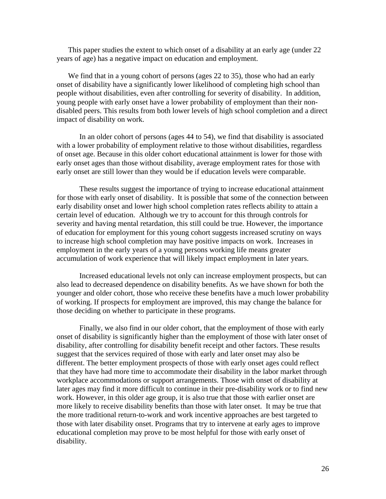This paper studies the extent to which onset of a disability at an early age (under 22 years of age) has a negative impact on education and employment.

We find that in a young cohort of persons (ages 22 to 35), those who had an early onset of disability have a significantly lower likelihood of completing high school than people without disabilities, even after controlling for severity of disability. In addition, young people with early onset have a lower probability of employment than their nondisabled peers. This results from both lower levels of high school completion and a direct impact of disability on work.

In an older cohort of persons (ages 44 to 54), we find that disability is associated with a lower probability of employment relative to those without disabilities, regardless of onset age. Because in this older cohort educational attainment is lower for those with early onset ages than those without disability, average employment rates for those with early onset are still lower than they would be if education levels were comparable.

 These results suggest the importance of trying to increase educational attainment for those with early onset of disability. It is possible that some of the connection between early disability onset and lower high school completion rates reflects ability to attain a certain level of education. Although we try to account for this through controls for severity and having mental retardation, this still could be true. However, the importance of education for employment for this young cohort suggests increased scrutiny on ways to increase high school completion may have positive impacts on work. Increases in employment in the early years of a young persons working life means greater accumulation of work experience that will likely impact employment in later years.

Increased educational levels not only can increase employment prospects, but can also lead to decreased dependence on disability benefits. As we have shown for both the younger and older cohort, those who receive these benefits have a much lower probability of working. If prospects for employment are improved, this may change the balance for those deciding on whether to participate in these programs.

Finally, we also find in our older cohort, that the employment of those with early onset of disability is significantly higher than the employment of those with later onset of disability, after controlling for disability benefit receipt and other factors. These results suggest that the services required of those with early and later onset may also be different. The better employment prospects of those with early onset ages could reflect that they have had more time to accommodate their disability in the labor market through workplace accommodations or support arrangements. Those with onset of disability at later ages may find it more difficult to continue in their pre-disability work or to find new work. However, in this older age group, it is also true that those with earlier onset are more likely to receive disability benefits than those with later onset. It may be true that the more traditional return-to-work and work incentive approaches are best targeted to those with later disability onset. Programs that try to intervene at early ages to improve educational completion may prove to be most helpful for those with early onset of disability.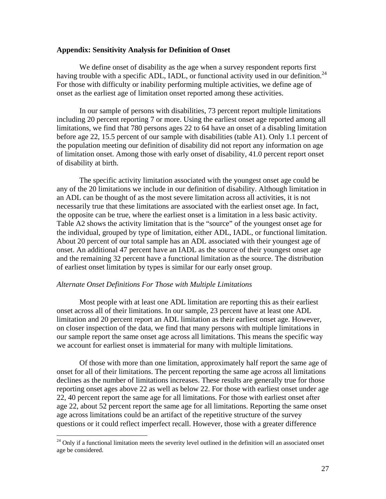### **Appendix: Sensitivity Analysis for Definition of Onset**

We define onset of disability as the age when a survey respondent reports first having trouble with a specific ADL, IADL, or functional activity used in our definition.<sup>24</sup> For those with difficulty or inability performing multiple activities, we define age of onset as the earliest age of limitation onset reported among these activities.

In our sample of persons with disabilities, 73 percent report multiple limitations including 20 percent reporting 7 or more. Using the earliest onset age reported among all limitations, we find that 780 persons ages 22 to 64 have an onset of a disabling limitation before age 22, 15.5 percent of our sample with disabilities (table A1). Only 1.1 percent of the population meeting our definition of disability did not report any information on age of limitation onset. Among those with early onset of disability, 41.0 percent report onset of disability at birth.

The specific activity limitation associated with the youngest onset age could be any of the 20 limitations we include in our definition of disability. Although limitation in an ADL can be thought of as the most severe limitation across all activities, it is not necessarily true that these limitations are associated with the earliest onset age. In fact, the opposite can be true, where the earliest onset is a limitation in a less basic activity. Table A2 shows the activity limitation that is the "source" of the youngest onset age for the individual, grouped by type of limitation, either ADL, IADL, or functional limitation. About 20 percent of our total sample has an ADL associated with their youngest age of onset. An additional 47 percent have an IADL as the source of their youngest onset age and the remaining 32 percent have a functional limitation as the source. The distribution of earliest onset limitation by types is similar for our early onset group.

### *Alternate Onset Definitions For Those with Multiple Limitations*

 $\overline{a}$ 

Most people with at least one ADL limitation are reporting this as their earliest onset across all of their limitations. In our sample, 23 percent have at least one ADL limitation and 20 percent report an ADL limitation as their earliest onset age. However, on closer inspection of the data, we find that many persons with multiple limitations in our sample report the same onset age across all limitations. This means the specific way we account for earliest onset is immaterial for many with multiple limitations.

Of those with more than one limitation, approximately half report the same age of onset for all of their limitations. The percent reporting the same age across all limitations declines as the number of limitations increases. These results are generally true for those reporting onset ages above 22 as well as below 22. For those with earliest onset under age 22, 40 percent report the same age for all limitations. For those with earliest onset after age 22, about 52 percent report the same age for all limitations. Reporting the same onset age across limitations could be an artifact of the repetitive structure of the survey questions or it could reflect imperfect recall. However, those with a greater difference

 $24$  Only if a functional limitation meets the severity level outlined in the definition will an associated onset age be considered.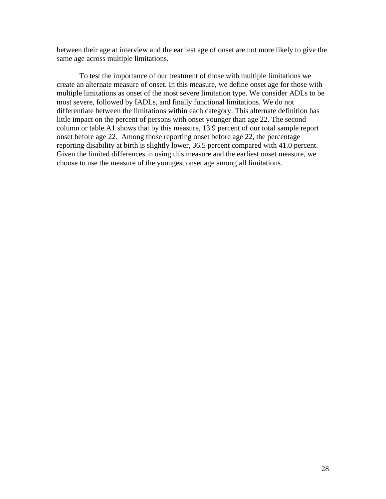between their age at interview and the earliest age of onset are not more likely to give the same age across multiple limitations.

To test the importance of our treatment of those with multiple limitations we create an alternate measure of onset. In this measure, we define onset age for those with multiple limitations as onset of the most severe limitation type. We consider ADLs to be most severe, followed by IADLs, and finally functional limitations. We do not differentiate between the limitations within each category. This alternate definition has little impact on the percent of persons with onset younger than age 22. The second column or table A1 shows that by this measure, 13.9 percent of our total sample report onset before age 22. Among those reporting onset before age 22, the percentage reporting disability at birth is slightly lower, 36.5 percent compared with 41.0 percent. Given the limited differences in using this measure and the earliest onset measure, we choose to use the measure of the youngest onset age among all limitations.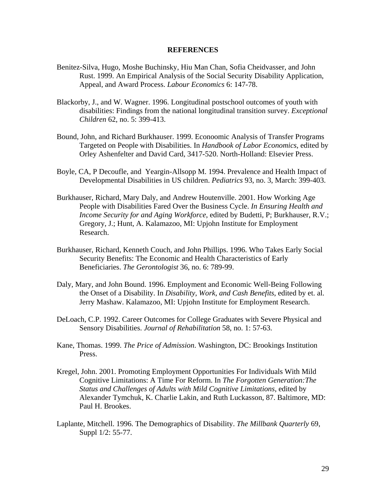### **REFERENCES**

- Benitez-Silva, Hugo, Moshe Buchinsky, Hiu Man Chan, Sofia Cheidvasser, and John Rust. 1999. An Empirical Analysis of the Social Security Disability Application, Appeal, and Award Process. *Labour Economics* 6: 147-78.
- Blackorby, J., and W. Wagner. 1996. Longitudinal postschool outcomes of youth with disabilities: Findings from the national longitudinal transition survey. *Exceptional Children* 62, no. 5: 399-413.
- Bound, John, and Richard Burkhauser. 1999. Econoomic Analysis of Transfer Programs Targeted on People with Disabilities. In *Handbook of Labor Economics*, edited by Orley Ashenfelter and David Card, 3417-520. North-Holland: Elsevier Press.
- Boyle, CA, P Decoufle, and Yeargin-Allsopp M. 1994. Prevalence and Health Impact of Developmental Disabilities in US children. *Pediatrics* 93, no. 3, March: 399-403.
- Burkhauser, Richard, Mary Daly, and Andrew Houtenville. 2001. How Working Age People with Disabilities Fared Over the Business Cycle. *In Ensuring Health and Income Security for and Aging Workforce*, edited by Budetti, P; Burkhauser, R.V.; Gregory, J.; Hunt, A. Kalamazoo, MI: Upjohn Institute for Employment Research.
- Burkhauser, Richard, Kenneth Couch, and John Phillips. 1996. Who Takes Early Social Security Benefits: The Economic and Health Characteristics of Early Beneficiaries. *The Gerontologist* 36, no. 6: 789-99.
- Daly, Mary, and John Bound. 1996. Employment and Economic Well-Being Following the Onset of a Disability. In *Disability, Work, and Cash Benefits*, edited by et. al. Jerry Mashaw. Kalamazoo, MI: Upjohn Institute for Employment Research.
- DeLoach, C.P. 1992. Career Outcomes for College Graduates with Severe Physical and Sensory Disabilities. *Journal of Rehabilitation* 58, no. 1: 57-63.
- Kane, Thomas. 1999. *The Price of Admission*. Washington, DC: Brookings Institution Press.
- Kregel, John. 2001. Promoting Employment Opportunities For Individuals With Mild Cognitive Limitations: A Time For Reform. In *The Forgotten Generation:The Status and Challenges of Adults with Mild Cognitive Limitations*, edited by Alexander Tymchuk, K. Charlie Lakin, and Ruth Luckasson, 87. Baltimore, MD: Paul H. Brookes.
- Laplante, Mitchell. 1996. The Demographics of Disability. *The Millbank Quarterly* 69, Suppl 1/2: 55-77.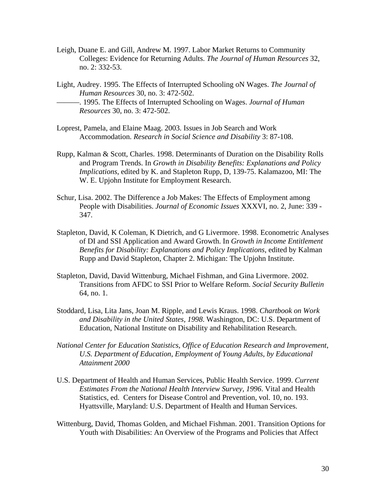- Leigh, Duane E. and Gill, Andrew M. 1997. Labor Market Returns to Community Colleges: Evidence for Returning Adults. *The Journal of Human Resources* 32, no. 2: 332-53.
- Light, Audrey. 1995. The Effects of Interrupted Schooling oN Wages. *The Journal of Human Resources* 30, no. 3: 472-502. ———. 1995. The Effects of Interrupted Schooling on Wages. *Journal of Human Resources* 30, no. 3: 472-502.
- Loprest, Pamela, and Elaine Maag. 2003. Issues in Job Search and Work Accommodation. *Research in Social Science and Disability* 3: 87-108.
- Rupp, Kalman & Scott, Charles. 1998. Determinants of Duration on the Disability Rolls and Program Trends. In *Growth in Disability Benefits: Explanations and Policy Implications*, edited by K. and Stapleton Rupp, D, 139-75. Kalamazoo, MI: The W. E. Upjohn Institute for Employment Research.
- Schur, Lisa. 2002. The Difference a Job Makes: The Effects of Employment among People with Disabilities. *Journal of Economic Issues* XXXVI, no. 2, June: 339 - 347.
- Stapleton, David, K Coleman, K Dietrich, and G Livermore. 1998. Econometric Analyses of DI and SSI Application and Award Growth. In *Growth in Income Entitlement Benefits for Disability: Explanations and Policy Implications*, edited by Kalman Rupp and David Stapleton, Chapter 2. Michigan: The Upjohn Institute.
- Stapleton, David, David Wittenburg, Michael Fishman, and Gina Livermore. 2002. Transitions from AFDC to SSI Prior to Welfare Reform. *Social Security Bulletin* 64, no. 1.
- Stoddard, Lisa, Lita Jans, Joan M. Ripple, and Lewis Kraus. 1998. *Chartbook on Work and Disability in the United States, 1998*. Washington, DC: U.S. Department of Education, National Institute on Disability and Rehabilitation Research.
- *National Center for Education Statistics*, *Office of Education Research and Improvement*, *U.S. Department of Education*, *Employment of Young Adults, by Educational Attainment 2000*
- U.S. Department of Health and Human Services, Public Health Service. 1999. *Current Estimates From the National Health Interview Survey, 1996*. Vital and Health Statistics, ed. Centers for Disease Control and Prevention, vol. 10, no. 193. Hyattsville, Maryland: U.S. Department of Health and Human Services.
- Wittenburg, David, Thomas Golden, and Michael Fishman. 2001. Transition Options for Youth with Disabilities: An Overview of the Programs and Policies that Affect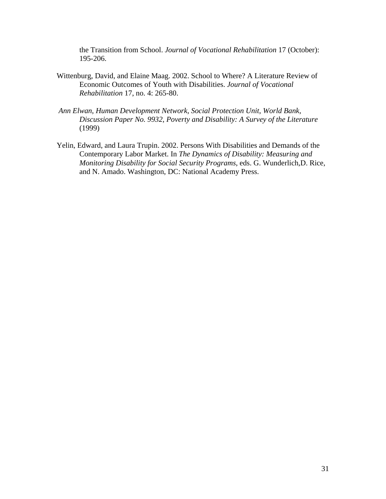the Transition from School. *Journal of Vocational Rehabilitation* 17 (October): 195-206.

- Wittenburg, David, and Elaine Maag. 2002. School to Where? A Literature Review of Economic Outcomes of Youth with Disabilities. *Journal of Vocational Rehabilitation* 17, no. 4: 265-80.
- *Ann Elwan*, *Human Development Network*, *Social Protection Unit*, *World Bank*, *Discussion Paper No. 9932*, *Poverty and Disability: A Survey of the Literature* (1999)
- Yelin, Edward, and Laura Trupin. 2002. Persons With Disabilities and Demands of the Contemporary Labor Market. In *The Dynamics of Disability: Measuring and Monitoring Disability for Social Security Programs*, eds. G. Wunderlich,D. Rice, and N. Amado. Washington, DC: National Academy Press.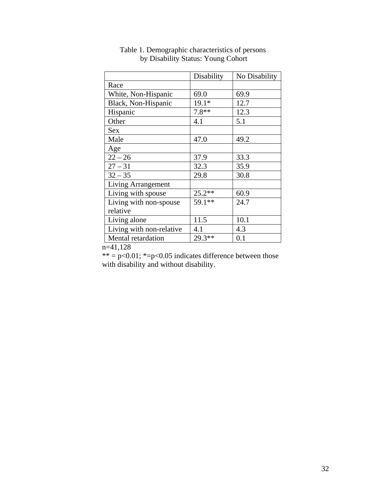|                           | Disability | No Disability |
|---------------------------|------------|---------------|
| Race                      |            |               |
| White, Non-Hispanic       | 69.0       | 69.9          |
| Black, Non-Hispanic       | 19.1*      | 12.7          |
| Hispanic                  | $7.8**$    | 12.3          |
| Other                     | 4.1        | 5.1           |
| <b>Sex</b>                |            |               |
| Male                      | 47.0       | 49.2          |
| Age                       |            |               |
| $22 - 26$                 | 37.9       | 33.3          |
| $27 - 31$                 | 32.3       | 35.9          |
| $32 - 35$                 | 29.8       | 30.8          |
| <b>Living Arrangement</b> |            |               |
| Living with spouse        | $25.2**$   | 60.9          |
| Living with non-spouse    | 59.1**     | 24.7          |
| relative                  |            |               |
| Living alone              | 11.5       | 10.1          |
| Living with non-relative  | 4.1        | 4.3           |
| Mental retardation        | 29.3**     | 0.1           |

Table 1. Demographic characteristics of persons by Disability Status: Young Cohort

 $n=41,128$ 

 $** = p < 0.01$ ;  $*= p < 0.05$  indicates difference between those with disability and without disability.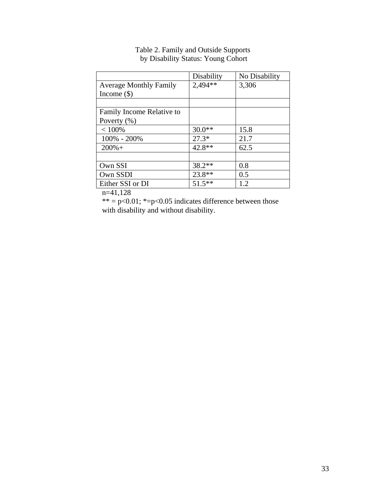|                               | Disability | No Disability |
|-------------------------------|------------|---------------|
| <b>Average Monthly Family</b> | 2,494**    | 3,306         |
| Income $(\$)$                 |            |               |
|                               |            |               |
| Family Income Relative to     |            |               |
| Poverty $(\% )$               |            |               |
| < 100%                        | $30.0**$   | 15.8          |
| 100% - 200%                   | $27.3*$    | 21.7          |
| $200%+$                       | 42.8**     | 62.5          |
|                               |            |               |
| Own SSI                       | 38.2**     | 0.8           |
| Own SSDI                      | 23.8**     | 0.5           |
| Either SSI or DI              | $51.5***$  | 1.2           |
| $\cdots$                      |            |               |

## Table 2. Family and Outside Supports by Disability Status: Young Cohort

n=41,128

 $** = p < 0.01$ ;  $*= p < 0.05$  indicates difference between those with disability and without disability.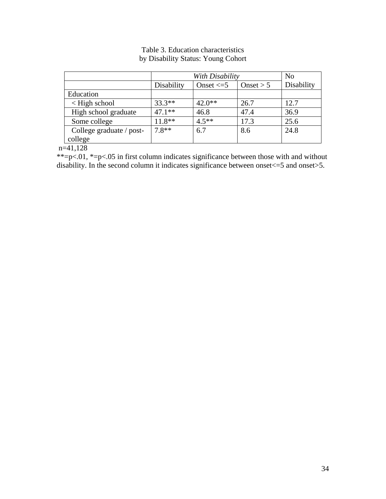|                          |            | With Disability |             |            |  |
|--------------------------|------------|-----------------|-------------|------------|--|
|                          | Disability | Onset $\leq$ 5  | Onset $> 5$ | Disability |  |
| Education                |            |                 |             |            |  |
| $\leq$ High school       | $33.3**$   | $42.0**$        | 26.7        | 12.7       |  |
| High school graduate     | $47.1**$   | 46.8            | 47.4        | 36.9       |  |
| Some college             | $11.8**$   | $4.5**$         | 17.3        | 25.6       |  |
| College graduate / post- | $7.8**$    | 6.7             | 8.6         | 24.8       |  |
| college                  |            |                 |             |            |  |

# Table 3. Education characteristics by Disability Status: Young Cohort

 $n=41,128$ 

\*\*=p<.01, \*=p<.05 in first column indicates significance between those with and without disability. In the second column it indicates significance between onset $\leq$ =5 and onset>5.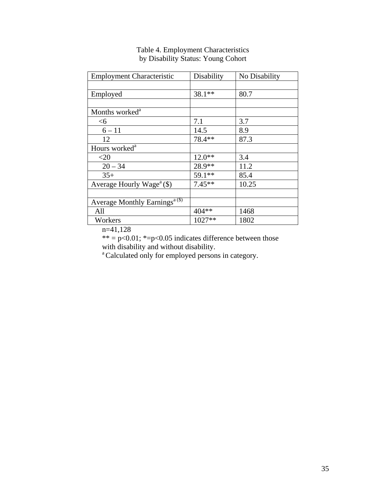| <b>Employment Characteristic</b>                   | Disability | No Disability |
|----------------------------------------------------|------------|---------------|
|                                                    |            |               |
| Employed                                           | 38.1**     | 80.7          |
|                                                    |            |               |
| Months worked <sup>a</sup>                         |            |               |
| $<$ 6                                              | 7.1        | 3.7           |
| $6 - 11$                                           | 14.5       | 8.9           |
| 12                                                 | 78.4**     | 87.3          |
| Hours worked <sup>a</sup>                          |            |               |
| $<$ 20                                             | $12.0**$   | 3.4           |
| $20 - 34$                                          | 28.9**     | 11.2          |
| $35+$                                              | 59.1**     | 85.4          |
| Average Hourly Wage <sup><math>a</math></sup> (\$) | $7.45**$   | 10.25         |
|                                                    |            |               |
| <b>Average Monthly Earnings</b> <sup>a(\$)</sup>   |            |               |
| All                                                | 404 **     | 1468          |
| Workers                                            | 1027**     | 1802          |

# Table 4. Employment Characteristics by Disability Status: Young Cohort

n=41,128

\*\* =  $p<0.01$ ; \*= $p<0.05$  indicates difference between those with disability and without disability.

<sup>a</sup> Calculated only for employed persons in category.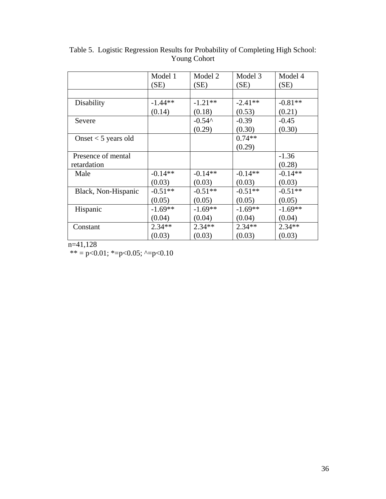|                       | Model 1<br>(SE) | Model 2<br>(SE) | Model 3<br>(SE) | Model 4<br>(SE) |
|-----------------------|-----------------|-----------------|-----------------|-----------------|
|                       |                 |                 |                 |                 |
| Disability            | $-1.44**$       | $-1.21**$       | $-2.41**$       | $-0.81**$       |
|                       | (0.14)          | (0.18)          | (0.53)          | (0.21)          |
| Severe                |                 | $-0.54^$        | $-0.39$         | $-0.45$         |
|                       |                 | (0.29)          | (0.30)          | (0.30)          |
| Onset $<$ 5 years old |                 |                 | $0.74**$        |                 |
|                       |                 |                 | (0.29)          |                 |
| Presence of mental    |                 |                 |                 | $-1.36$         |
| retardation           |                 |                 |                 | (0.28)          |
| Male                  | $-0.14**$       | $-0.14**$       | $-0.14**$       | $-0.14**$       |
|                       | (0.03)          | (0.03)          | (0.03)          | (0.03)          |
| Black, Non-Hispanic   | $-0.51**$       | $-0.51**$       | $-0.51**$       | $-0.51**$       |
|                       | (0.05)          | (0.05)          | (0.05)          | (0.05)          |
| Hispanic              | $-1.69**$       | $-1.69**$       | $-1.69**$       | $-1.69**$       |
|                       | (0.04)          | (0.04)          | (0.04)          | (0.04)          |
| Constant              | $2.34**$        | $2.34**$        | $2.34**$        | $2.34**$        |
|                       | (0.03)          | (0.03)          | (0.03)          | (0.03)          |

Table 5. Logistic Regression Results for Probability of Completing High School: Young Cohort

n=41,128

\*\* = p<0.01; \*=p<0.05; ^=p<0.10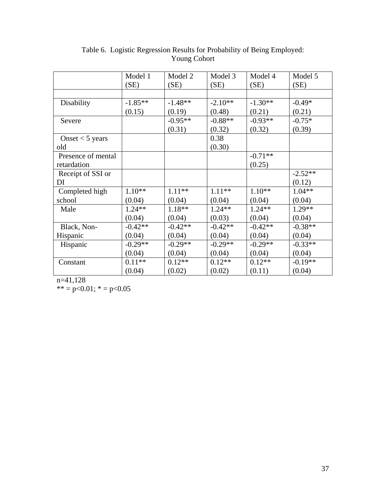|                    | Model 1   | Model 2   | Model 3   | Model 4   | Model 5   |
|--------------------|-----------|-----------|-----------|-----------|-----------|
|                    | (SE)      | (SE)      | (SE)      | (SE)      | (SE)      |
|                    |           |           |           |           |           |
| Disability         | $-1.85**$ | $-1.48**$ | $-2.10**$ | $-1.30**$ | $-0.49*$  |
|                    | (0.15)    | (0.19)    | (0.48)    | (0.21)    | (0.21)    |
| Severe             |           | $-0.95**$ | $-0.88**$ | $-0.93**$ | $-0.75*$  |
|                    |           | (0.31)    | (0.32)    | (0.32)    | (0.39)    |
| Onset $<$ 5 years  |           |           | 0.38      |           |           |
| old                |           |           | (0.30)    |           |           |
| Presence of mental |           |           |           | $-0.71**$ |           |
| retardation        |           |           |           | (0.25)    |           |
| Receipt of SSI or  |           |           |           |           | $-2.52**$ |
| DI                 |           |           |           |           | (0.12)    |
| Completed high     | $1.10**$  | $1.11**$  | $1.11**$  | $1.10**$  | $1.04**$  |
| school             | (0.04)    | (0.04)    | (0.04)    | (0.04)    | (0.04)    |
| Male               | $1.24**$  | 1.18**    | $1.24**$  | $1.24**$  | $1.29**$  |
|                    | (0.04)    | (0.04)    | (0.03)    | (0.04)    | (0.04)    |
| Black, Non-        | $-0.42**$ | $-0.42**$ | $-0.42**$ | $-0.42**$ | $-0.38**$ |
| Hispanic           | (0.04)    | (0.04)    | (0.04)    | (0.04)    | (0.04)    |
| Hispanic           | $-0.29**$ | $-0.29**$ | $-0.29**$ | $-0.29**$ | $-0.33**$ |
|                    | (0.04)    | (0.04)    | (0.04)    | (0.04)    | (0.04)    |
| Constant           | $0.11**$  | $0.12**$  | $0.12**$  | $0.12**$  | $-0.19**$ |
|                    | (0.04)    | (0.02)    | (0.02)    | (0.11)    | (0.04)    |

# Table 6. Logistic Regression Results for Probability of Being Employed: Young Cohort

n=41,128

\*\* =  $p<0.01$ ; \* =  $p<0.05$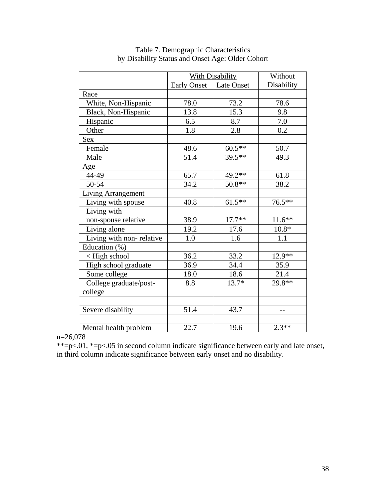|                                                                                      | <b>With Disability</b> |            | Without          |
|--------------------------------------------------------------------------------------|------------------------|------------|------------------|
|                                                                                      | <b>Early Onset</b>     | Late Onset | Disability       |
| Race                                                                                 |                        |            |                  |
| White, Non-Hispanic                                                                  | 78.0                   | 73.2       | 78.6             |
| Black, Non-Hispanic                                                                  | 13.8                   | 15.3       | 9.8              |
| Hispanic                                                                             | 6.5                    | 8.7        | 7.0              |
| Other                                                                                | 1.8                    | 2.8        | $0.\overline{2}$ |
| <b>Sex</b>                                                                           |                        |            |                  |
| Female                                                                               | 48.6                   | $60.5**$   | 50.7             |
| Male                                                                                 | 51.4                   | 39.5**     | 49.3             |
| Age                                                                                  |                        |            |                  |
| 44-49                                                                                | 65.7                   | 49.2**     | 61.8             |
| 50-54                                                                                | 34.2                   | $50.8**$   | 38.2             |
| Living Arrangement                                                                   |                        |            |                  |
| Living with spouse                                                                   | 40.8                   | $61.5**$   | 76.5**           |
| Living with                                                                          |                        |            |                  |
| non-spouse relative                                                                  | 38.9                   | $17.7**$   | $11.6**$         |
| Living alone                                                                         | 19.2                   | 17.6       | $10.8*$          |
| Living with non-relative                                                             | 1.0                    | 1.6        | 1.1              |
| Education (%)                                                                        |                        |            |                  |
| <high school<="" td=""><td>36.2</td><td>33.2</td><td><math>12.9**</math></td></high> | 36.2                   | 33.2       | $12.9**$         |
| High school graduate                                                                 | 36.9                   | 34.4       | 35.9             |
| Some college                                                                         | 18.0                   | 18.6       | 21.4             |
| College graduate/post-                                                               | 8.8                    | $13.7*$    | 29.8**           |
| college                                                                              |                        |            |                  |
|                                                                                      |                        |            |                  |
| Severe disability                                                                    | 51.4                   | 43.7       |                  |
|                                                                                      |                        |            |                  |
| Mental health problem                                                                | 22.7                   | 19.6       | $2.3**$          |

# Table 7. Demographic Characteristics by Disability Status and Onset Age: Older Cohort

# $n=26,078$

\*\*=p<.01, \*=p<.05 in second column indicate significance between early and late onset, in third column indicate significance between early onset and no disability.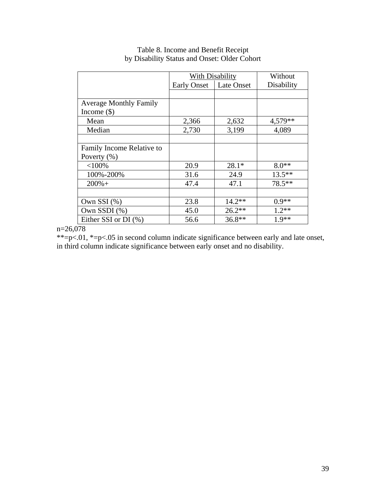|                               | With Disability    | Without    |            |
|-------------------------------|--------------------|------------|------------|
|                               | <b>Early Onset</b> | Late Onset | Disability |
|                               |                    |            |            |
| <b>Average Monthly Family</b> |                    |            |            |
| Income $(\$)$                 |                    |            |            |
| Mean                          | 2,366              | 2,632      | 4,579**    |
| Median                        | 2,730              | 3,199      | 4,089      |
|                               |                    |            |            |
| Family Income Relative to     |                    |            |            |
| Poverty $(\% )$               |                    |            |            |
| $<$ 100%                      | 20.9               | $28.1*$    | $8.0**$    |
| 100%-200%                     | 31.6               | 24.9       | $13.5***$  |
| $200% +$                      | 47.4               | 47.1       | 78.5**     |
|                               |                    |            |            |
| Own SSI $(\%)$                | 23.8               | $14.2**$   | $0.9**$    |
| Own SSDI $(\%)$               | 45.0               | $26.2**$   | $1.2**$    |
| Either SSI or DI $(\% )$      | 56.6               | $36.8**$   | $1.9**$    |

# Table 8. Income and Benefit Receipt by Disability Status and Onset: Older Cohort

n=26,078

\*\*=p<.01, \*=p<.05 in second column indicate significance between early and late onset, in third column indicate significance between early onset and no disability.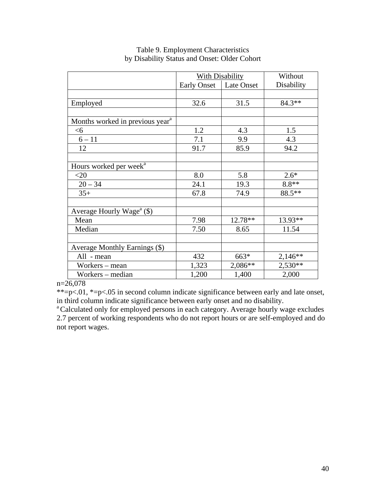|                                             | <b>With Disability</b> | Without    |            |
|---------------------------------------------|------------------------|------------|------------|
|                                             | <b>Early Onset</b>     | Late Onset | Disability |
|                                             |                        |            |            |
| Employed                                    | 32.6                   | 31.5       | $84.3**$   |
|                                             |                        |            |            |
| Months worked in previous year <sup>a</sup> |                        |            |            |
| <6                                          | 1.2                    | 4.3        | 1.5        |
| $6 - 11$                                    | 7.1                    | 9.9        | 4.3        |
| 12                                          | 91.7                   | 85.9       | 94.2       |
|                                             |                        |            |            |
| Hours worked per week <sup>a</sup>          |                        |            |            |
| $<$ 20                                      | 8.0                    | 5.8        | $2.6*$     |
| $20 - 34$                                   | 24.1                   | 19.3       | $8.8**$    |
| $35+$                                       | 67.8                   | 74.9       | 88.5**     |
|                                             |                        |            |            |
| Average Hourly Wage <sup>a</sup> $(\$)$     |                        |            |            |
| Mean                                        | 7.98                   | 12.78**    | 13.93**    |
| Median                                      | 7.50                   | 8.65       | 11.54      |
|                                             |                        |            |            |
| Average Monthly Earnings (\$)               |                        |            |            |
| All - mean                                  | 432                    | 663*       | $2,146**$  |
| Workers - mean                              | 1,323                  | 2,086**    | 2,530**    |
| Workers – median                            | 1,200                  | 1,400      | 2,000      |

# Table 9. Employment Characteristics by Disability Status and Onset: Older Cohort

n=26,078

\*\*=p<.01, \*=p<.05 in second column indicate significance between early and late onset, in third column indicate significance between early onset and no disability.<br>a Calculated only for employed persons in each category. Average hourly wage excludes

2.7 percent of working respondents who do not report hours or are self-employed and do not report wages.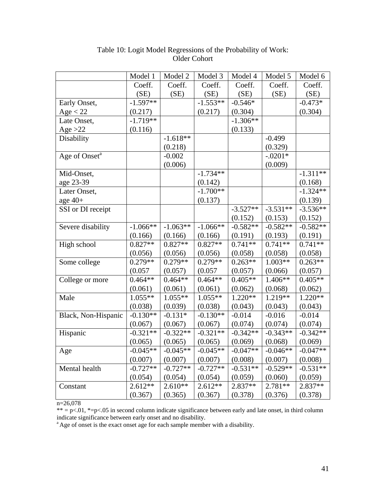|                           | Model 1    | Model 2    | Model 3    | Model 4    | Model 5    | Model 6    |
|---------------------------|------------|------------|------------|------------|------------|------------|
|                           | Coeff.     | Coeff.     | Coeff.     | Coeff.     | Coeff.     | Coeff.     |
|                           | (SE)       | (SE)       | (SE)       | (SE)       | (SE)       | (SE)       |
| Early Onset,              | $-1.597**$ |            | $-1.553**$ | $-0.546*$  |            | $-0.473*$  |
| Age < 22                  | (0.217)    |            | (0.217)    | (0.304)    |            | (0.304)    |
| Late Onset,               | $-1.719**$ |            |            | $-1.306**$ |            |            |
| Age $>22$                 | (0.116)    |            |            | (0.133)    |            |            |
| Disability                |            | $-1.618**$ |            |            | $-0.499$   |            |
|                           |            | (0.218)    |            |            | (0.329)    |            |
| Age of Onset <sup>a</sup> |            | $-0.002$   |            |            | $-.0201*$  |            |
|                           |            | (0.006)    |            |            | (0.009)    |            |
| Mid-Onset,                |            |            | $-1.734**$ |            |            | $-1.311**$ |
| age 23-39                 |            |            | (0.142)    |            |            | (0.168)    |
| Later Onset,              |            |            | $-1.700**$ |            |            | $-1.324**$ |
| age $40+$                 |            |            | (0.137)    |            |            | (0.139)    |
| SSI or DI receipt         |            |            |            | $-3.527**$ | $-3.531**$ | $-3.536**$ |
|                           |            |            |            | (0.152)    | (0.153)    | (0.152)    |
| Severe disability         | $-1.066**$ | $-1.063**$ | $-1.066**$ | $-0.582**$ | $-0.582**$ | $-0.582**$ |
|                           | (0.166)    | (0.166)    | (0.166)    | (0.191)    | (0.193)    | (0.191)    |
| High school               | $0.827**$  | $0.827**$  | $0.827**$  | $0.741**$  | $0.741**$  | $0.741**$  |
|                           | (0.056)    | (0.056)    | (0.056)    | (0.058)    | (0.058)    | (0.058)    |
| Some college              | $0.279**$  | $0.279**$  | $0.279**$  | $0.263**$  | $1.003**$  | $0.263**$  |
|                           | (0.057)    | (0.057)    | (0.057)    | (0.057)    | (0.066)    | (0.057)    |
| College or more           | $0.464**$  | $0.464**$  | $0.464**$  | $0.405**$  | 1.406**    | $0.405**$  |
|                           | (0.061)    | (0.061)    | (0.061)    | (0.062)    | (0.068)    | (0.062)    |
| Male                      | $1.055**$  | $1.055**$  | $1.055**$  | $1.220**$  | $1.219**$  | $1.220**$  |
|                           | (0.038)    | (0.039)    | (0.038)    | (0.043)    | (0.043)    | (0.043)    |
| Black, Non-Hispanic       | $-0.130**$ | $-0.131*$  | $-0.130**$ | $-0.014$   | $-0.016$   | $-0.014$   |
|                           | (0.067)    | (0.067)    | (0.067)    | (0.074)    | (0.074)    | (0.074)    |
| Hispanic                  | $-0.321**$ | $-0.322**$ | $-0.321**$ | $-0.342**$ | $-0.343**$ | $-0.342**$ |
|                           | (0.065)    | (0.065)    | (0.065)    | (0.069)    | (0.068)    | (0.069)    |
| Age                       | $-0.045**$ | $-0.045**$ | $-0.045**$ | $-0.047**$ | $-0.046**$ | $-0.047**$ |
|                           | (0.007)    | (0.007)    | (0.007)    | (0.008)    | (0.007)    | (0.008)    |
| Mental health             | $-0.727**$ | $-0.727**$ | $-0.727**$ | $-0.531**$ | $-0.529**$ | $-0.531**$ |
|                           | (0.054)    | (0.054)    | (0.054)    | (0.059)    | (0.060)    | (0.059)    |
| Constant                  | $2.612**$  | $2.610**$  | $2.612**$  | 2.837**    | $2.781**$  | 2.837**    |
|                           | (0.367)    | (0.365)    | (0.367)    | (0.378)    | (0.376)    | (0.378)    |

# Table 10: Logit Model Regressions of the Probability of Work: Older Cohort

n=26,078

 $** = p \lt 0.01$ ,  $* = p \lt 0.05$  in second column indicate significance between early and late onset, in third column indicate significance between early onset and no disability.

<sup>a</sup> Age of onset is the exact onset age for each sample member with a disability.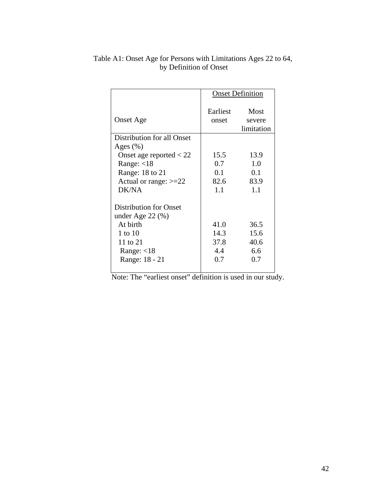|                                                        | <b>Onset Definition</b> |                              |
|--------------------------------------------------------|-------------------------|------------------------------|
| <b>Onset Age</b>                                       | Earliest<br>onset       | Most<br>severe<br>limitation |
| Distribution for all Onset                             |                         |                              |
| Ages $(\% )$                                           |                         |                              |
| Onset age reported $<$ 22                              | 15.5                    | 13.9                         |
| Range: $<$ 18                                          | 0.7                     | 1.0                          |
| Range: 18 to 21                                        | 0.1                     | 0.1                          |
| Actual or range: $>=22$                                | 82.6                    | 83.9                         |
| DK/NA                                                  | 1.1                     | 1.1                          |
| <b>Distribution for Onset</b><br>under Age $22 \ (\%)$ |                         |                              |
| At birth                                               | 41.0                    | 36.5                         |
| 1 to 10                                                | 14.3                    | 15.6                         |
| 11 to 21                                               | 37.8                    | 40.6                         |
| Range: $<$ 18                                          | 4.4                     | 6.6                          |
| Range: 18 - 21                                         | 0.7                     | 0.7                          |
|                                                        |                         |                              |

# Table A1: Onset Age for Persons with Limitations Ages 22 to 64, by Definition of Onset

Note: The "earliest onset" definition is used in our study.